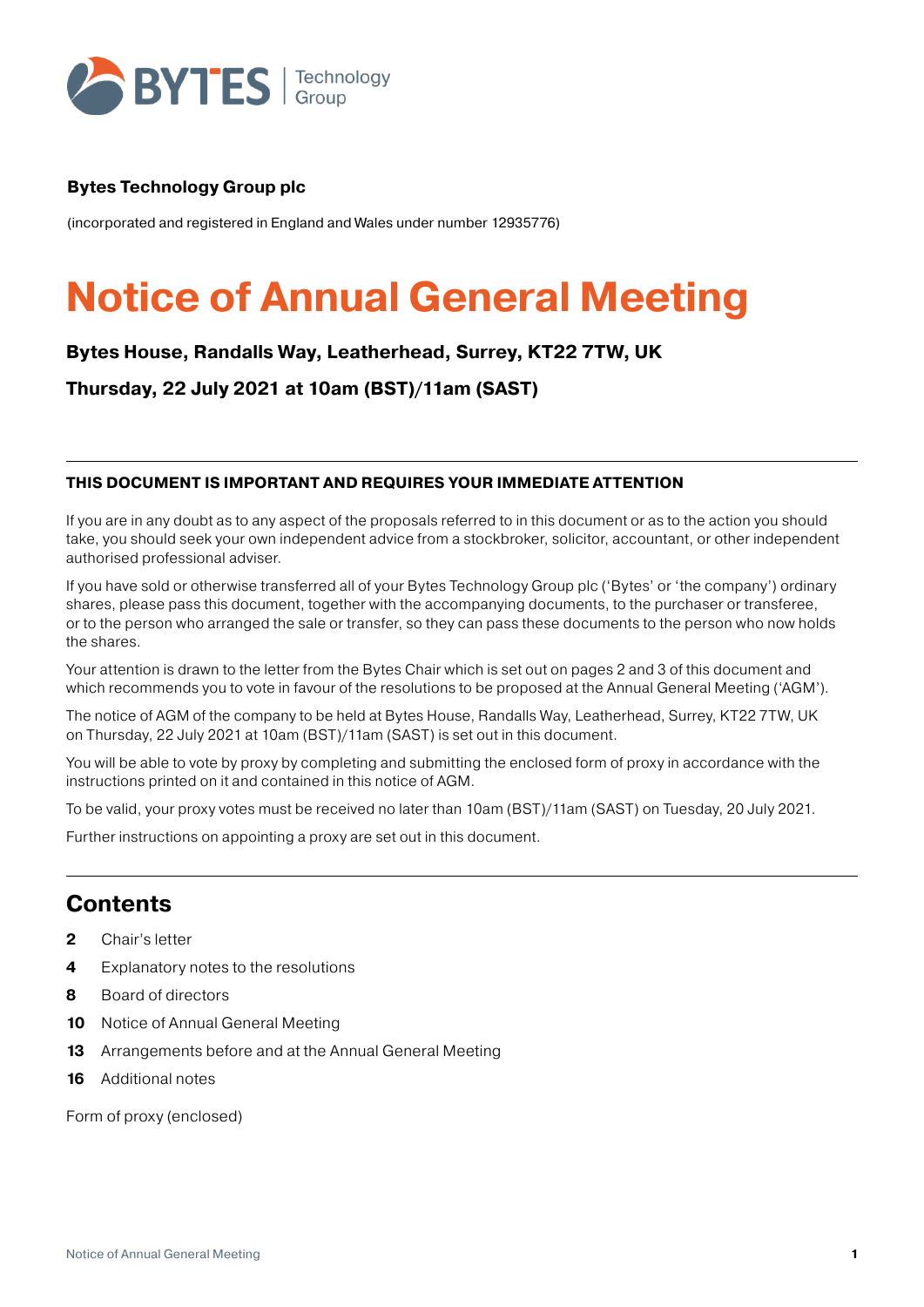

### **Bytes Technology Group plc**

(incorporated and registered in England and Wales under number 12935776)

# **Notice of Annual General Meeting**

## **Bytes House, Randalls Way, Leatherhead, Surrey, KT22 7TW, UK**

**Thursday, 22 July 2021 at 10am (BST)/11am (SAST)**

#### **THIS DOCUMENT IS IMPORTANT AND REQUIRES YOUR IMMEDIATE ATTENTION**

If you are in any doubt as to any aspect of the proposals referred to in this document or as to the action you should take, you should seek your own independent advice from a stockbroker, solicitor, accountant, or other independent authorised professional adviser.

If you have sold or otherwise transferred all of your Bytes Technology Group plc ('Bytes' or 'the company') ordinary shares, please pass this document, together with the accompanying documents, to the purchaser or transferee, or to the person who arranged the sale or transfer, so they can pass these documents to the person who now holds the shares.

Your attention is drawn to the letter from the Bytes Chair which is set out on pages 2 and 3 of this document and which recommends you to vote in favour of the resolutions to be proposed at the Annual General Meeting ('AGM').

The notice of AGM of the company to be held at Bytes House, Randalls Way, Leatherhead, Surrey, KT22 7TW, UK on Thursday, 22 July 2021 at 10am (BST)/11am (SAST) is set out in this document.

You will be able to vote by proxy by completing and submitting the enclosed form of proxy in accordance with the instructions printed on it and contained in this notice of AGM.

To be valid, your proxy votes must be received no later than 10am (BST)/11am (SAST) on Tuesday, 20 July 2021.

Further instructions on appointing a proxy are set out in this document.

## **Contents**

- **2** Chair's letter
- **4** Explanatory notes to the resolutions
- **8** Board of directors
- **10** Notice of Annual General Meeting
- **13** Arrangements before and at the Annual General Meeting
- **16** Additional notes

Form of proxy (enclosed)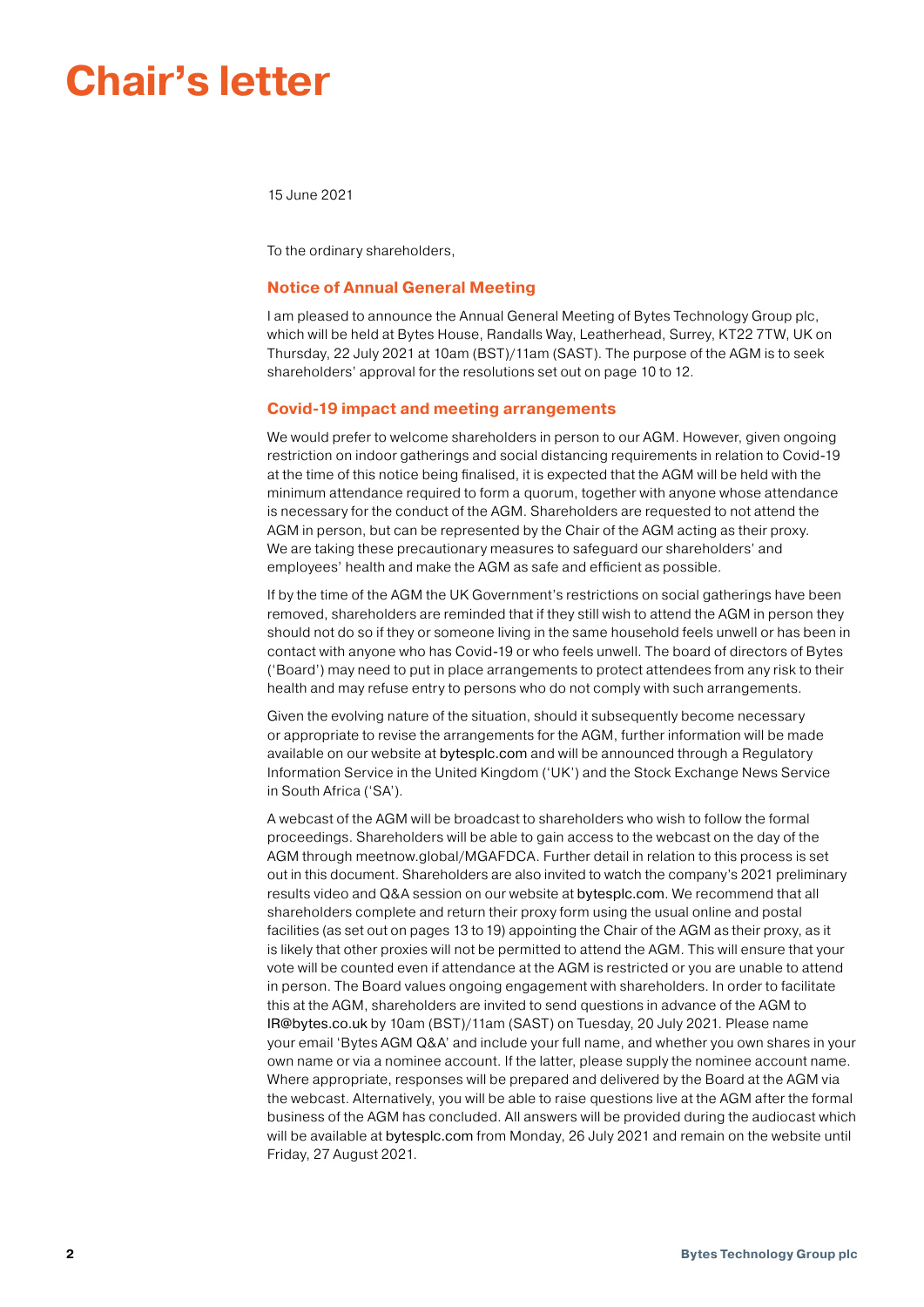## **Chair's letter**

15 June 2021

To the ordinary shareholders,

#### **Notice of Annual General Meeting**

I am pleased to announce the Annual General Meeting of Bytes Technology Group plc, which will be held at Bytes House, Randalls Way, Leatherhead, Surrey, KT22 7TW, UK on Thursday, 22 July 2021 at 10am (BST)/11am (SAST). The purpose of the AGM is to seek shareholders' approval for the resolutions set out on page 10 to 12.

#### **Covid-19 impact and meeting arrangements**

We would prefer to welcome shareholders in person to our AGM. However, given ongoing restriction on indoor gatherings and social distancing requirements in relation to Covid-19 at the time of this notice being finalised, it is expected that the AGM will be held with the minimum attendance required to form a quorum, together with anyone whose attendance is necessary for the conduct of the AGM. Shareholders are requested to not attend the AGM in person, but can be represented by the Chair of the AGM acting as their proxy. We are taking these precautionary measures to safeguard our shareholders' and employees' health and make the AGM as safe and efficient as possible.

If by the time of the AGM the UK Government's restrictions on social gatherings have been removed, shareholders are reminded that if they still wish to attend the AGM in person they should not do so if they or someone living in the same household feels unwell or has been in contact with anyone who has Covid-19 or who feels unwell. The board of directors of Bytes ('Board') may need to put in place arrangements to protect attendees from any risk to their health and may refuse entry to persons who do not comply with such arrangements.

Given the evolving nature of the situation, should it subsequently become necessary or appropriate to revise the arrangements for the AGM, further information will be made available on our website at [bytesplc.com](http://Bytesplc.com) and will be announced through a Regulatory Information Service in the United Kingdom ('UK') and the Stock Exchange News Service in South Africa ('SA').

A webcast of the AGM will be broadcast to shareholders who wish to follow the formal proceedings. Shareholders will be able to gain access to the webcast on the day of the AGM through meetnow.global/MGAFDCA. Further detail in relation to this process is set out in this document. Shareholders are also invited to watch the company's 2021 preliminary results video and Q&A session on our website at [bytesplc.com](http://Bytesplc.com). We recommend that all shareholders complete and return their proxy form using the usual online and postal facilities (as set out on pages 13 to 19) appointing the Chair of the AGM as their proxy, as it is likely that other proxies will not be permitted to attend the AGM. This will ensure that your vote will be counted even if attendance at the AGM is restricted or you are unable to attend in person. The Board values ongoing engagement with shareholders. In order to facilitate this at the AGM, shareholders are invited to send questions in advance of the AGM to [IR@bytes.co.uk](mailto:IR@Bytes.co.uk) by 10am (BST)/11am (SAST) on Tuesday, 20 July 2021. Please name your email 'Bytes AGM Q&A' and include your full name, and whether you own shares in your own name or via a nominee account. If the latter, please supply the nominee account name. Where appropriate, responses will be prepared and delivered by the Board at the AGM via the webcast. Alternatively, you will be able to raise questions live at the AGM after the formal business of the AGM has concluded. All answers will be provided during the audiocast which will be available at [bytesplc.com](http://Bytesplc.com) from Monday, 26 July 2021 and remain on the website until Friday, 27 August 2021.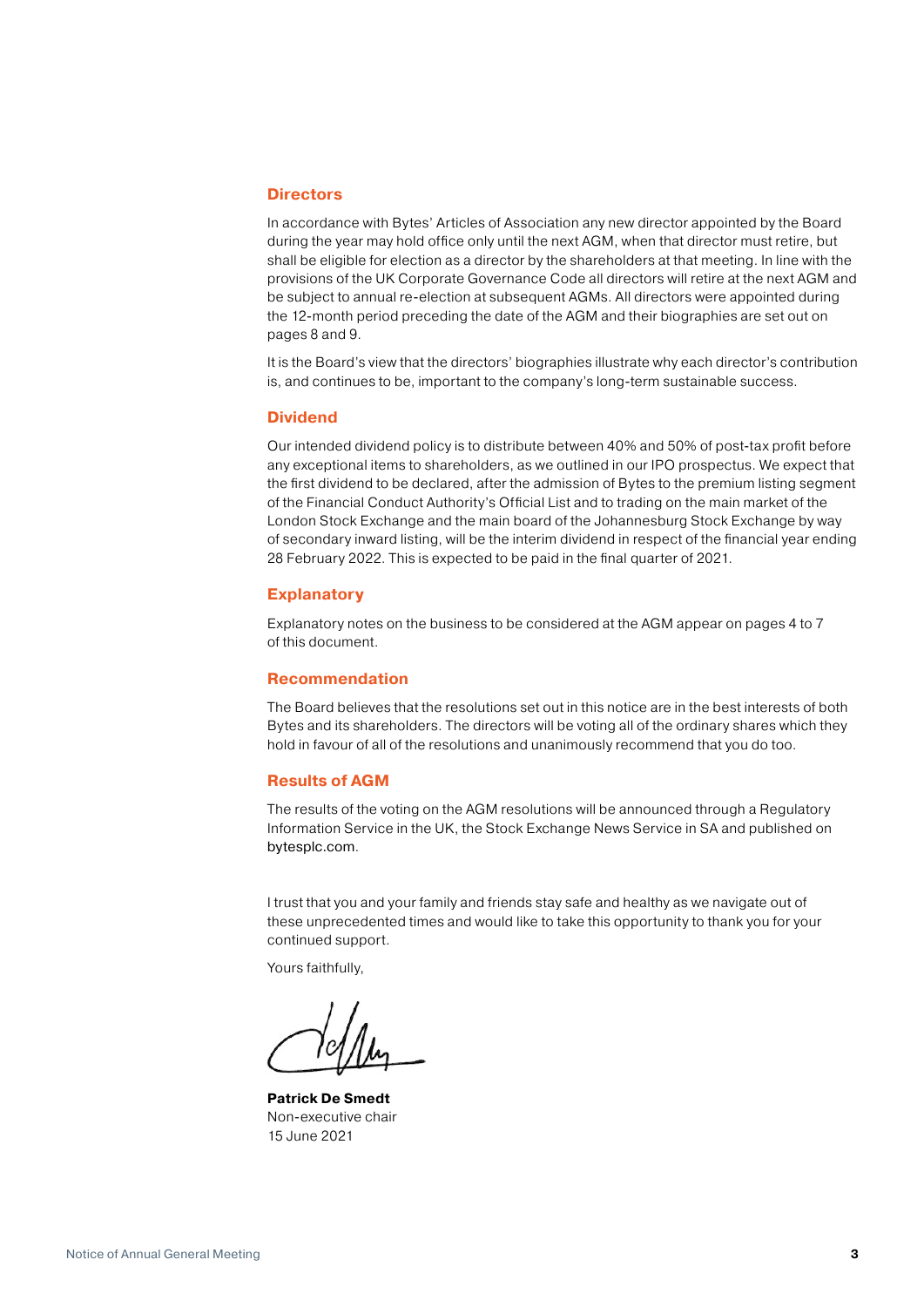#### **Directors**

In accordance with Bytes' Articles of Association any new director appointed by the Board during the year may hold office only until the next AGM, when that director must retire, but shall be eligible for election as a director by the shareholders at that meeting. In line with the provisions of the UK Corporate Governance Code all directors will retire at the next AGM and be subject to annual re-election at subsequent AGMs. All directors were appointed during the 12-month period preceding the date of the AGM and their biographies are set out on pages 8 and 9.

It is the Board's view that the directors' biographies illustrate why each director's contribution is, and continues to be, important to the company's long-term sustainable success.

#### **Dividend**

Our intended dividend policy is to distribute between 40% and 50% of post-tax profit before any exceptional items to shareholders, as we outlined in our IPO prospectus. We expect that the first dividend to be declared, after the admission of Bytes to the premium listing segment of the Financial Conduct Authority's Official List and to trading on the main market of the London Stock Exchange and the main board of the Johannesburg Stock Exchange by way of secondary inward listing, will be the interim dividend in respect of the financial year ending 28 February 2022. This is expected to be paid in the final quarter of 2021.

#### **Explanatory**

Explanatory notes on the business to be considered at the AGM appear on pages 4 to 7 of this document.

#### **Recommendation**

The Board believes that the resolutions set out in this notice are in the best interests of both Bytes and its shareholders. The directors will be voting all of the ordinary shares which they hold in favour of all of the resolutions and unanimously recommend that you do too.

#### **Results of AGM**

The results of the voting on the AGM resolutions will be announced through a Regulatory Information Service in the UK, the Stock Exchange News Service in SA and published on [bytesplc.com](http://Bytesplc.com).

I trust that you and your family and friends stay safe and healthy as we navigate out of these unprecedented times and would like to take this opportunity to thank you for your continued support.

Yours faithfully,

**Patrick De Smedt**  Non-executive chair 15 June 2021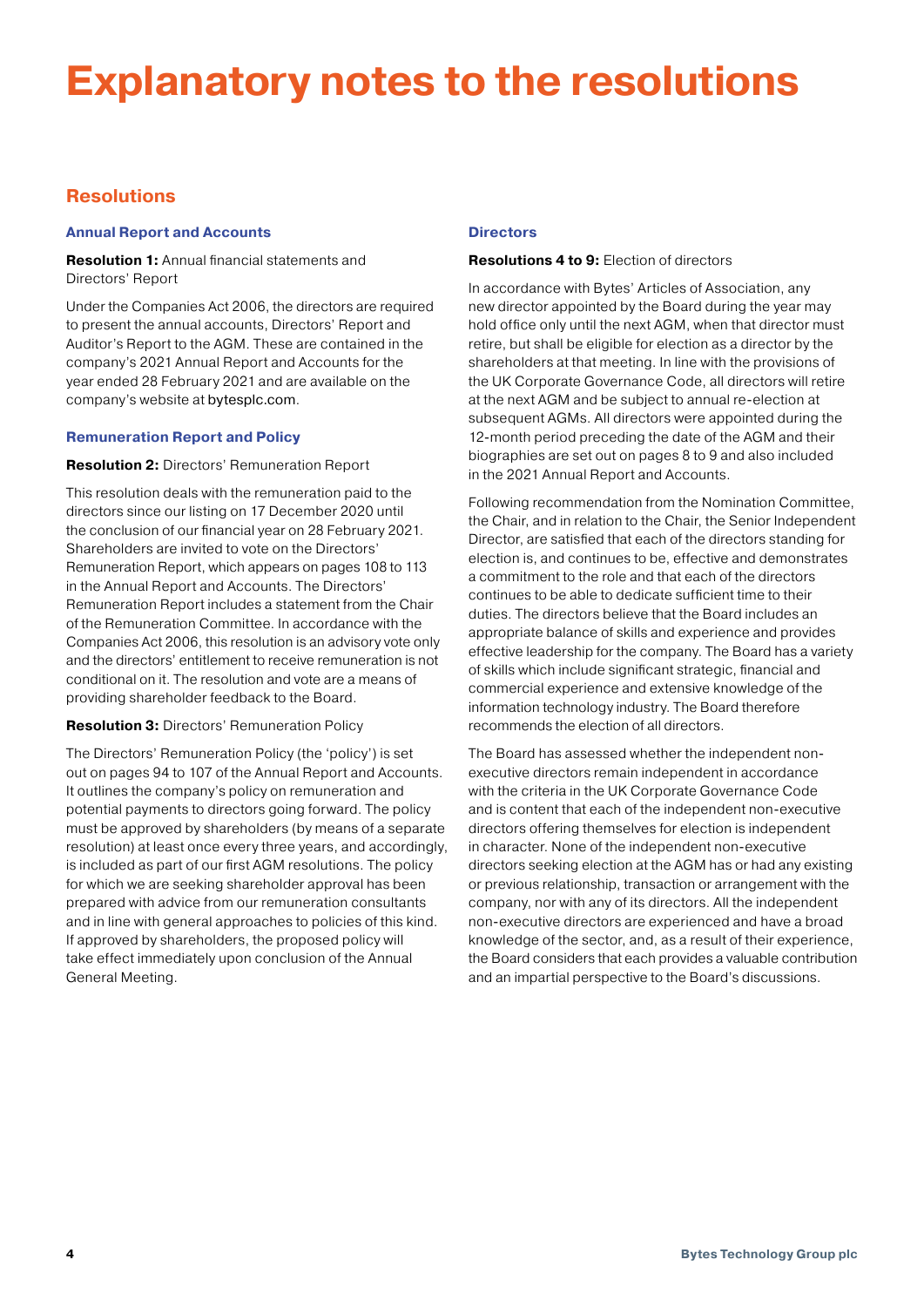## **Explanatory notes to the resolutions**

### **Resolutions**

#### **Annual Report and Accounts**

**Resolution 1:** Annual financial statements and Directors' Report

Under the Companies Act 2006, the directors are required to present the annual accounts, Directors' Report and Auditor's Report to the AGM. These are contained in the company's 2021 Annual Report and Accounts for the year ended 28 February 2021 and are available on the company's website at [bytesplc.com](http://Bytesplc.com).

#### **Remuneration Report and Policy**

#### **Resolution 2:** Directors' Remuneration Report

This resolution deals with the remuneration paid to the directors since our listing on 17 December 2020 until the conclusion of our financial year on 28 February 2021. Shareholders are invited to vote on the Directors' Remuneration Report, which appears on pages 108 to 113 in the Annual Report and Accounts. The Directors' Remuneration Report includes a statement from the Chair of the Remuneration Committee. In accordance with the Companies Act 2006, this resolution is an advisory vote only and the directors' entitlement to receive remuneration is not conditional on it. The resolution and vote are a means of providing shareholder feedback to the Board.

#### **Resolution 3:** Directors' Remuneration Policy

The Directors' Remuneration Policy (the 'policy') is set out on pages 94 to 107 of the Annual Report and Accounts. It outlines the company's policy on remuneration and potential payments to directors going forward. The policy must be approved by shareholders (by means of a separate resolution) at least once every three years, and accordingly, is included as part of our first AGM resolutions. The policy for which we are seeking shareholder approval has been prepared with advice from our remuneration consultants and in line with general approaches to policies of this kind. If approved by shareholders, the proposed policy will take effect immediately upon conclusion of the Annual General Meeting.

#### **Directors**

#### **Resolutions 4 to 9:** Election of directors

In accordance with Bytes' Articles of Association, any new director appointed by the Board during the year may hold office only until the next AGM, when that director must retire, but shall be eligible for election as a director by the shareholders at that meeting. In line with the provisions of the UK Corporate Governance Code, all directors will retire at the next AGM and be subject to annual re-election at subsequent AGMs. All directors were appointed during the 12-month period preceding the date of the AGM and their biographies are set out on pages 8 to 9 and also included in the 2021 Annual Report and Accounts.

Following recommendation from the Nomination Committee, the Chair, and in relation to the Chair, the Senior Independent Director, are satisfied that each of the directors standing for election is, and continues to be, effective and demonstrates a commitment to the role and that each of the directors continues to be able to dedicate sufficient time to their duties. The directors believe that the Board includes an appropriate balance of skills and experience and provides effective leadership for the company. The Board has a variety of skills which include significant strategic, financial and commercial experience and extensive knowledge of the information technology industry. The Board therefore recommends the election of all directors.

The Board has assessed whether the independent nonexecutive directors remain independent in accordance with the criteria in the UK Corporate Governance Code and is content that each of the independent non-executive directors offering themselves for election is independent in character. None of the independent non-executive directors seeking election at the AGM has or had any existing or previous relationship, transaction or arrangement with the company, nor with any of its directors. All the independent non-executive directors are experienced and have a broad knowledge of the sector, and, as a result of their experience, the Board considers that each provides a valuable contribution and an impartial perspective to the Board's discussions.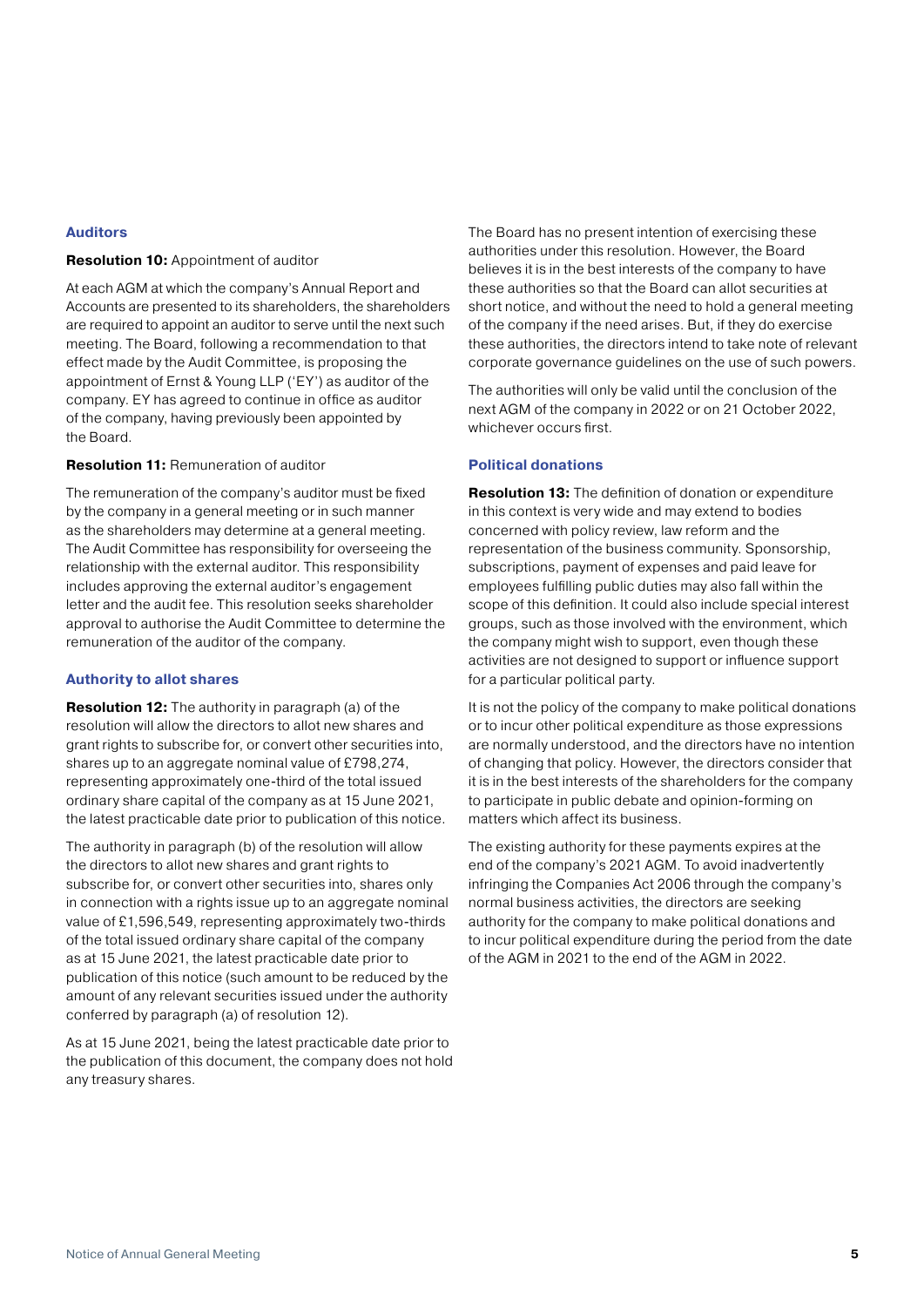#### **Auditors**

#### **Resolution 10:** Appointment of auditor

At each AGM at which the company's Annual Report and Accounts are presented to its shareholders, the shareholders are required to appoint an auditor to serve until the next such meeting. The Board, following a recommendation to that effect made by the Audit Committee, is proposing the appointment of Ernst & Young LLP ('EY') as auditor of the company. EY has agreed to continue in office as auditor of the company, having previously been appointed by the Board.

#### **Resolution 11:** Remuneration of auditor

The remuneration of the company's auditor must be fixed by the company in a general meeting or in such manner as the shareholders may determine at a general meeting. The Audit Committee has responsibility for overseeing the relationship with the external auditor. This responsibility includes approving the external auditor's engagement letter and the audit fee. This resolution seeks shareholder approval to authorise the Audit Committee to determine the remuneration of the auditor of the company.

#### **Authority to allot shares**

**Resolution 12:** The authority in paragraph (a) of the resolution will allow the directors to allot new shares and grant rights to subscribe for, or convert other securities into, shares up to an aggregate nominal value of £798,274, representing approximately one-third of the total issued ordinary share capital of the company as at 15 June 2021, the latest practicable date prior to publication of this notice.

The authority in paragraph (b) of the resolution will allow the directors to allot new shares and grant rights to subscribe for, or convert other securities into, shares only in connection with a rights issue up to an aggregate nominal value of £1,596,549, representing approximately two-thirds of the total issued ordinary share capital of the company as at 15 June 2021, the latest practicable date prior to publication of this notice (such amount to be reduced by the amount of any relevant securities issued under the authority conferred by paragraph (a) of resolution 12).

As at 15 June 2021, being the latest practicable date prior to the publication of this document, the company does not hold any treasury shares.

The Board has no present intention of exercising these authorities under this resolution. However, the Board believes it is in the best interests of the company to have these authorities so that the Board can allot securities at short notice, and without the need to hold a general meeting of the company if the need arises. But, if they do exercise these authorities, the directors intend to take note of relevant corporate governance guidelines on the use of such powers.

The authorities will only be valid until the conclusion of the next AGM of the company in 2022 or on 21 October 2022, whichever occurs first.

#### **Political donations**

**Resolution 13:** The definition of donation or expenditure in this context is very wide and may extend to bodies concerned with policy review, law reform and the representation of the business community. Sponsorship, subscriptions, payment of expenses and paid leave for employees fulfilling public duties may also fall within the scope of this definition. It could also include special interest groups, such as those involved with the environment, which the company might wish to support, even though these activities are not designed to support or influence support for a particular political party.

It is not the policy of the company to make political donations or to incur other political expenditure as those expressions are normally understood, and the directors have no intention of changing that policy. However, the directors consider that it is in the best interests of the shareholders for the company to participate in public debate and opinion-forming on matters which affect its business.

The existing authority for these payments expires at the end of the company's 2021 AGM. To avoid inadvertently infringing the Companies Act 2006 through the company's normal business activities, the directors are seeking authority for the company to make political donations and to incur political expenditure during the period from the date of the AGM in 2021 to the end of the AGM in 2022.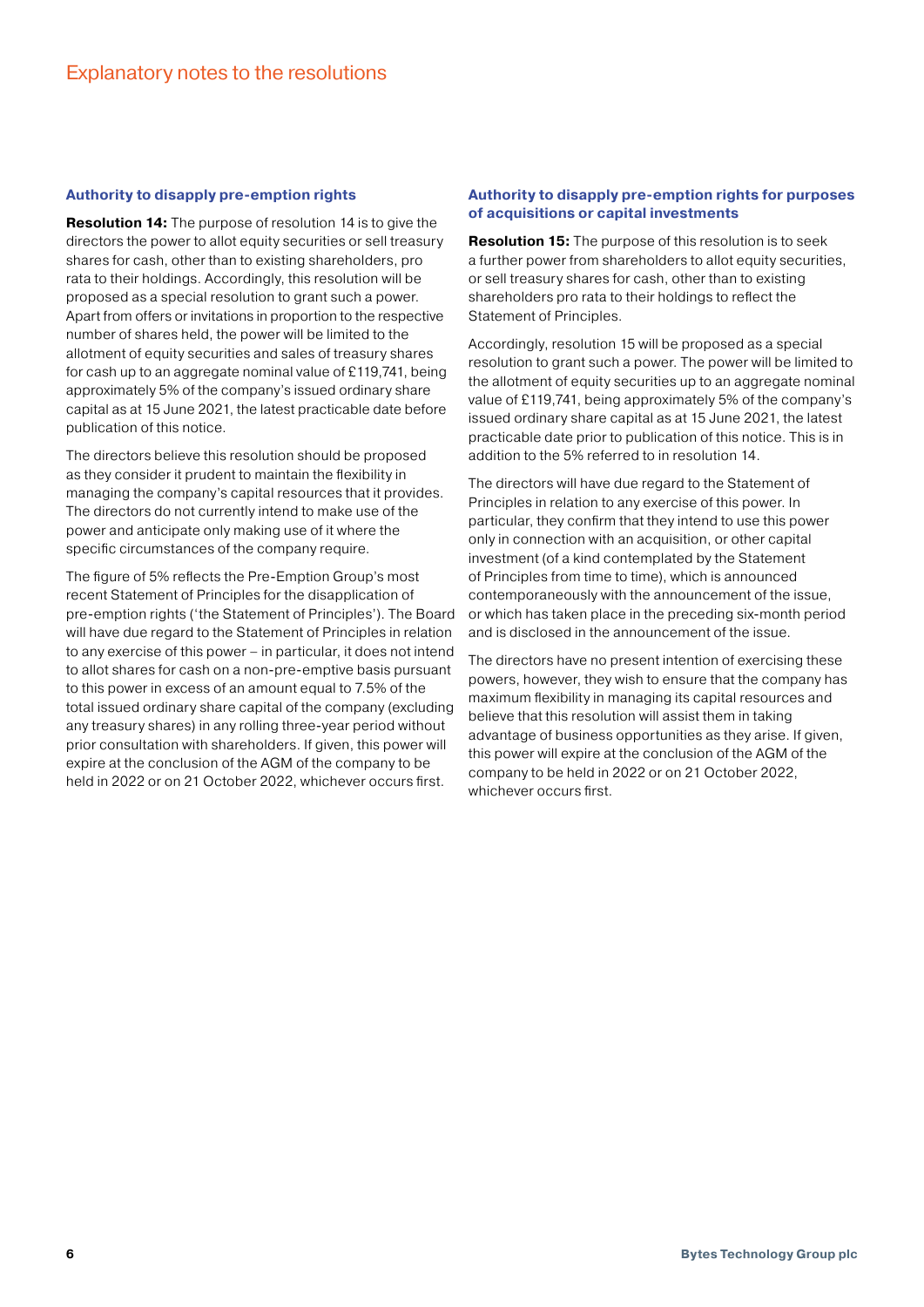#### **Authority to disapply pre-emption rights**

**Resolution 14:** The purpose of resolution 14 is to give the directors the power to allot equity securities or sell treasury shares for cash, other than to existing shareholders, pro rata to their holdings. Accordingly, this resolution will be proposed as a special resolution to grant such a power. Apart from offers or invitations in proportion to the respective number of shares held, the power will be limited to the allotment of equity securities and sales of treasury shares for cash up to an aggregate nominal value of £119,741, being approximately 5% of the company's issued ordinary share capital as at 15 June 2021, the latest practicable date before publication of this notice.

The directors believe this resolution should be proposed as they consider it prudent to maintain the flexibility in managing the company's capital resources that it provides. The directors do not currently intend to make use of the power and anticipate only making use of it where the specific circumstances of the company require.

The figure of 5% reflects the Pre-Emption Group's most recent Statement of Principles for the disapplication of pre-emption rights ('the Statement of Principles'). The Board will have due regard to the Statement of Principles in relation to any exercise of this power – in particular, it does not intend to allot shares for cash on a non-pre-emptive basis pursuant to this power in excess of an amount equal to 7.5% of the total issued ordinary share capital of the company (excluding any treasury shares) in any rolling three-year period without prior consultation with shareholders. If given, this power will expire at the conclusion of the AGM of the company to be held in 2022 or on 21 October 2022, whichever occurs first.

#### **Authority to disapply pre-emption rights for purposes of acquisitions or capital investments**

**Resolution 15:** The purpose of this resolution is to seek a further power from shareholders to allot equity securities, or sell treasury shares for cash, other than to existing shareholders pro rata to their holdings to reflect the Statement of Principles.

Accordingly, resolution 15 will be proposed as a special resolution to grant such a power. The power will be limited to the allotment of equity securities up to an aggregate nominal value of £119,741, being approximately 5% of the company's issued ordinary share capital as at 15 June 2021, the latest practicable date prior to publication of this notice. This is in addition to the 5% referred to in resolution 14.

The directors will have due regard to the Statement of Principles in relation to any exercise of this power. In particular, they confirm that they intend to use this power only in connection with an acquisition, or other capital investment (of a kind contemplated by the Statement of Principles from time to time), which is announced contemporaneously with the announcement of the issue, or which has taken place in the preceding six-month period and is disclosed in the announcement of the issue.

The directors have no present intention of exercising these powers, however, they wish to ensure that the company has maximum flexibility in managing its capital resources and believe that this resolution will assist them in taking advantage of business opportunities as they arise. If given, this power will expire at the conclusion of the AGM of the company to be held in 2022 or on 21 October 2022, whichever occurs first.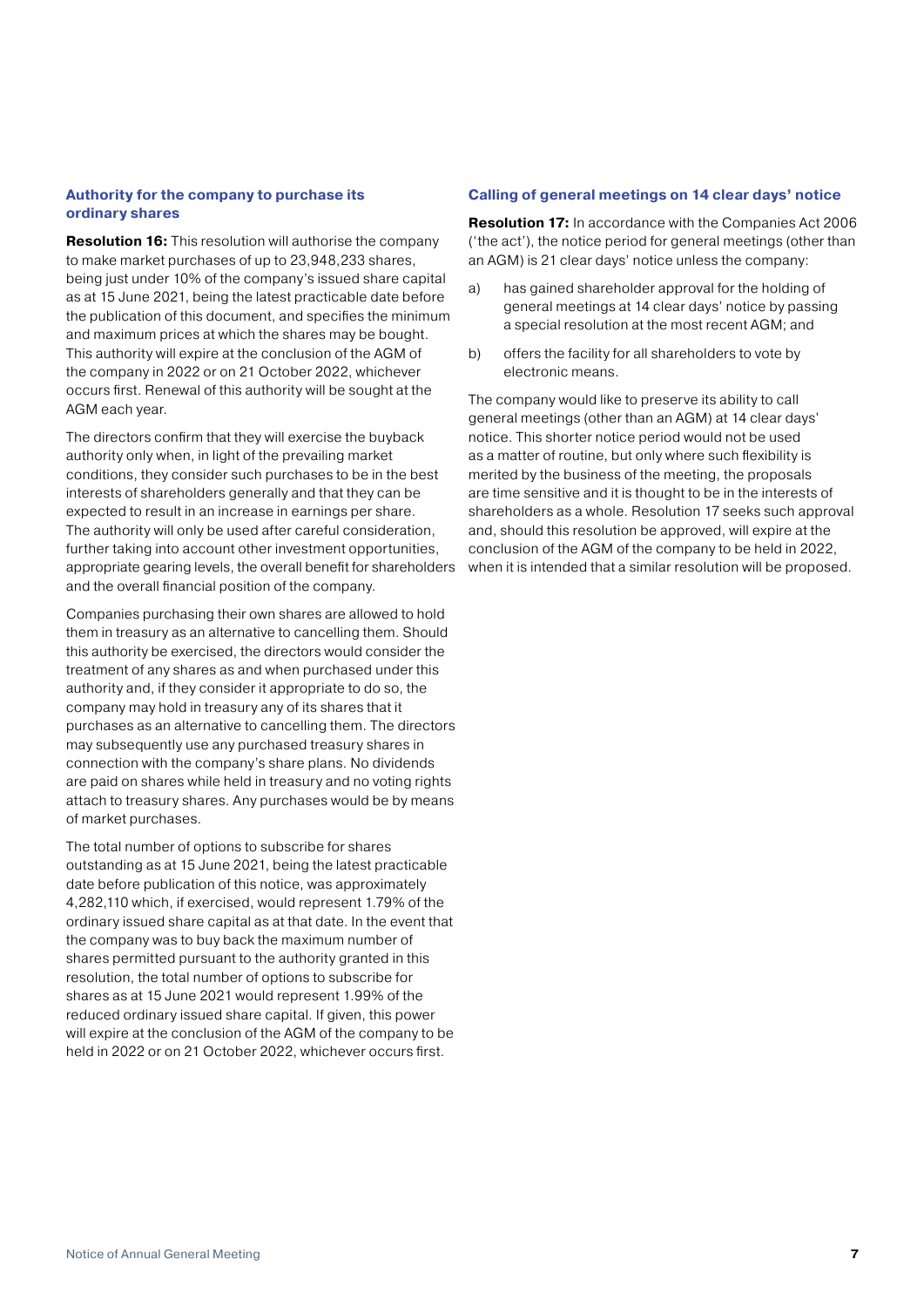#### **Authority for the company to purchase its ordinary shares**

**Resolution 16:** This resolution will authorise the company to make market purchases of up to 23,948,233 shares, being just under 10% of the company's issued share capital as at 15 June 2021, being the latest practicable date before the publication of this document, and specifies the minimum and maximum prices at which the shares may be bought. This authority will expire at the conclusion of the AGM of the company in 2022 or on 21 October 2022, whichever occurs first. Renewal of this authority will be sought at the AGM each year.

The directors confirm that they will exercise the buyback authority only when, in light of the prevailing market conditions, they consider such purchases to be in the best interests of shareholders generally and that they can be expected to result in an increase in earnings per share. The authority will only be used after careful consideration, further taking into account other investment opportunities, appropriate gearing levels, the overall benefit for shareholders and the overall financial position of the company.

Companies purchasing their own shares are allowed to hold them in treasury as an alternative to cancelling them. Should this authority be exercised, the directors would consider the treatment of any shares as and when purchased under this authority and, if they consider it appropriate to do so, the company may hold in treasury any of its shares that it purchases as an alternative to cancelling them. The directors may subsequently use any purchased treasury shares in connection with the company's share plans. No dividends are paid on shares while held in treasury and no voting rights attach to treasury shares. Any purchases would be by means of market purchases.

The total number of options to subscribe for shares outstanding as at 15 June 2021, being the latest practicable date before publication of this notice, was approximately 4,282,110 which, if exercised, would represent 1.79% of the ordinary issued share capital as at that date. In the event that the company was to buy back the maximum number of shares permitted pursuant to the authority granted in this resolution, the total number of options to subscribe for shares as at 15 June 2021 would represent 1.99% of the reduced ordinary issued share capital. If given, this power will expire at the conclusion of the AGM of the company to be held in 2022 or on 21 October 2022, whichever occurs first.

#### **Calling of general meetings on 14 clear days' notice**

**Resolution 17:** In accordance with the Companies Act 2006 ('the act'), the notice period for general meetings (other than an AGM) is 21 clear days' notice unless the company:

- a) has gained shareholder approval for the holding of general meetings at 14 clear days' notice by passing a special resolution at the most recent AGM; and
- b) offers the facility for all shareholders to vote by electronic means.

The company would like to preserve its ability to call general meetings (other than an AGM) at 14 clear days' notice. This shorter notice period would not be used as a matter of routine, but only where such flexibility is merited by the business of the meeting, the proposals are time sensitive and it is thought to be in the interests of shareholders as a whole. Resolution 17 seeks such approval and, should this resolution be approved, will expire at the conclusion of the AGM of the company to be held in 2022, when it is intended that a similar resolution will be proposed.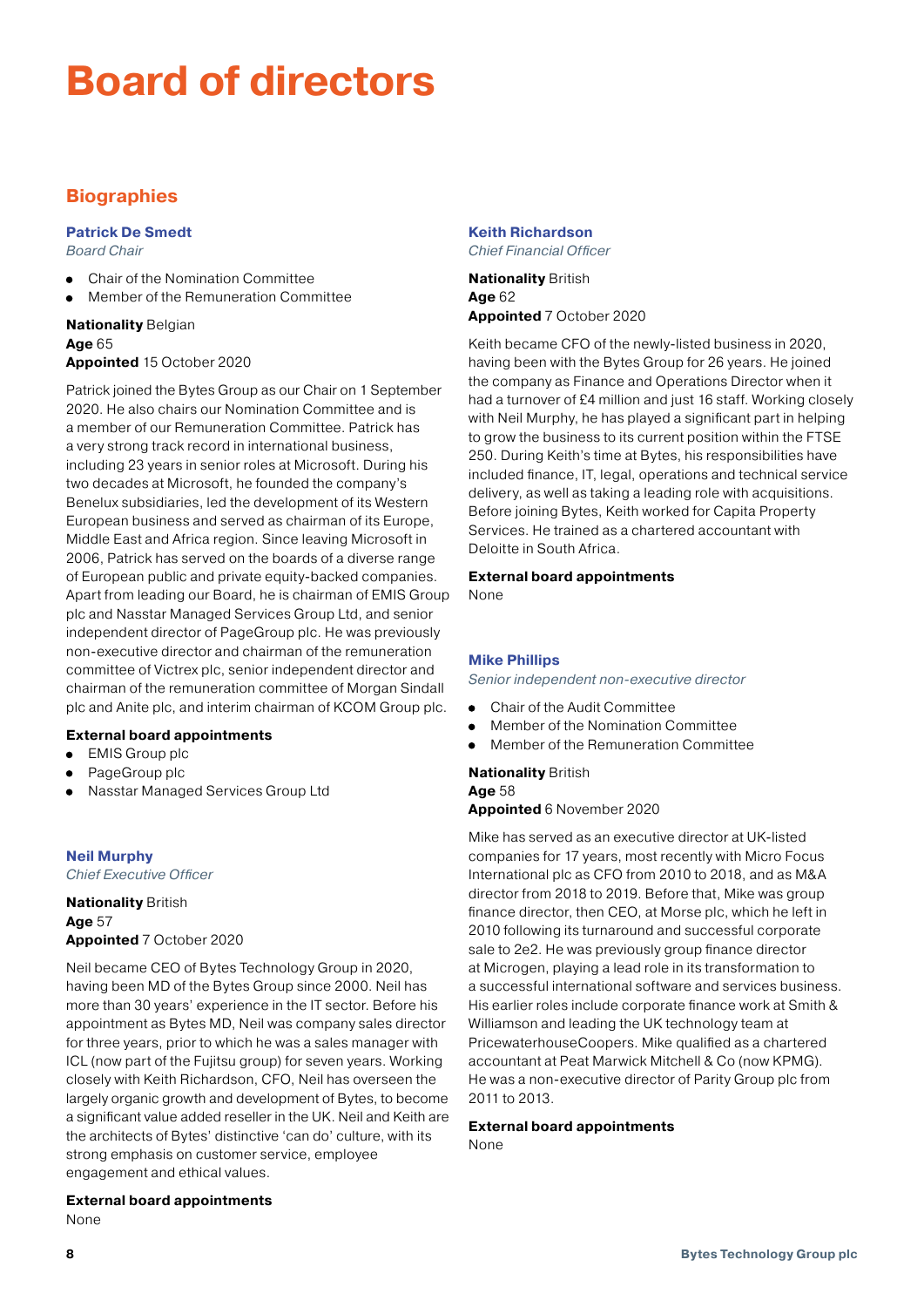## **Board of directors**

## **Biographies**

#### **Patrick De Smedt**

*Board Chair*

- Chair of the Nomination Committee
- Member of the Remuneration Committee  $\bullet$

#### **Nationality** Belgian **Age** 65 **Appointed** 15 October 2020

Patrick joined the Bytes Group as our Chair on 1 September 2020. He also chairs our Nomination Committee and is a member of our Remuneration Committee. Patrick has a very strong track record in international business, including 23 years in senior roles at Microsoft. During his two decades at Microsoft, he founded the company's Benelux subsidiaries, led the development of its Western European business and served as chairman of its Europe, Middle East and Africa region. Since leaving Microsoft in 2006, Patrick has served on the boards of a diverse range of European public and private equity-backed companies. Apart from leading our Board, he is chairman of EMIS Group plc and Nasstar Managed Services Group Ltd, and senior independent director of PageGroup plc. He was previously non-executive director and chairman of the remuneration committee of Victrex plc, senior independent director and chairman of the remuneration committee of Morgan Sindall plc and Anite plc, and interim chairman of KCOM Group plc.

#### **External board appointments**

- EMIS Group plc  $\bullet$
- PageGroup plc
- Nasstar Managed Services Group Ltd  $\bullet$

**Neil Murphy** 

*Chief Executive Officer* 

#### **Nationality** British **Age** 57 **Appointed** 7 October 2020

Neil became CEO of Bytes Technology Group in 2020, having been MD of the Bytes Group since 2000. Neil has more than 30 years' experience in the IT sector. Before his appointment as Bytes MD, Neil was company sales director for three years, prior to which he was a sales manager with ICL (now part of the Fujitsu group) for seven years. Working closely with Keith Richardson, CFO, Neil has overseen the largely organic growth and development of Bytes, to become a significant value added reseller in the UK. Neil and Keith are the architects of Bytes' distinctive 'can do' culture, with its strong emphasis on customer service, employee engagement and ethical values.

### **External board appointments**

None

#### **Keith Richardson**  *Chief Financial Officer*

**Nationality** British **Age** 62 **Appointed** 7 October 2020

Keith became CFO of the newly-listed business in 2020, having been with the Bytes Group for 26 years. He joined the company as Finance and Operations Director when it had a turnover of £4 million and just 16 staff. Working closely with Neil Murphy, he has played a significant part in helping to grow the business to its current position within the FTSE 250. During Keith's time at Bytes, his responsibilities have included finance, IT, legal, operations and technical service delivery, as well as taking a leading role with acquisitions. Before joining Bytes, Keith worked for Capita Property Services. He trained as a chartered accountant with Deloitte in South Africa.

## **External board appointments**

None

#### **Mike Phillips**

*Senior independent non-executive director*

- Chair of the Audit Committee  $\bullet$
- Member of the Nomination Committee
- $\bullet$ Member of the Remuneration Committee

## **Nationality** British **Age** 58

**Appointed** 6 November 2020

Mike has served as an executive director at UK-listed companies for 17 years, most recently with Micro Focus International plc as CFO from 2010 to 2018, and as M&A director from 2018 to 2019. Before that, Mike was group finance director, then CEO, at Morse plc, which he left in 2010 following its turnaround and successful corporate sale to 2e2. He was previously group finance director at Microgen, playing a lead role in its transformation to a successful international software and services business. His earlier roles include corporate finance work at Smith & Williamson and leading the UK technology team at PricewaterhouseCoopers. Mike qualified as a chartered accountant at Peat Marwick Mitchell & Co (now KPMG). He was a non-executive director of Parity Group plc from 2011 to 2013.

## **External board appointments**

None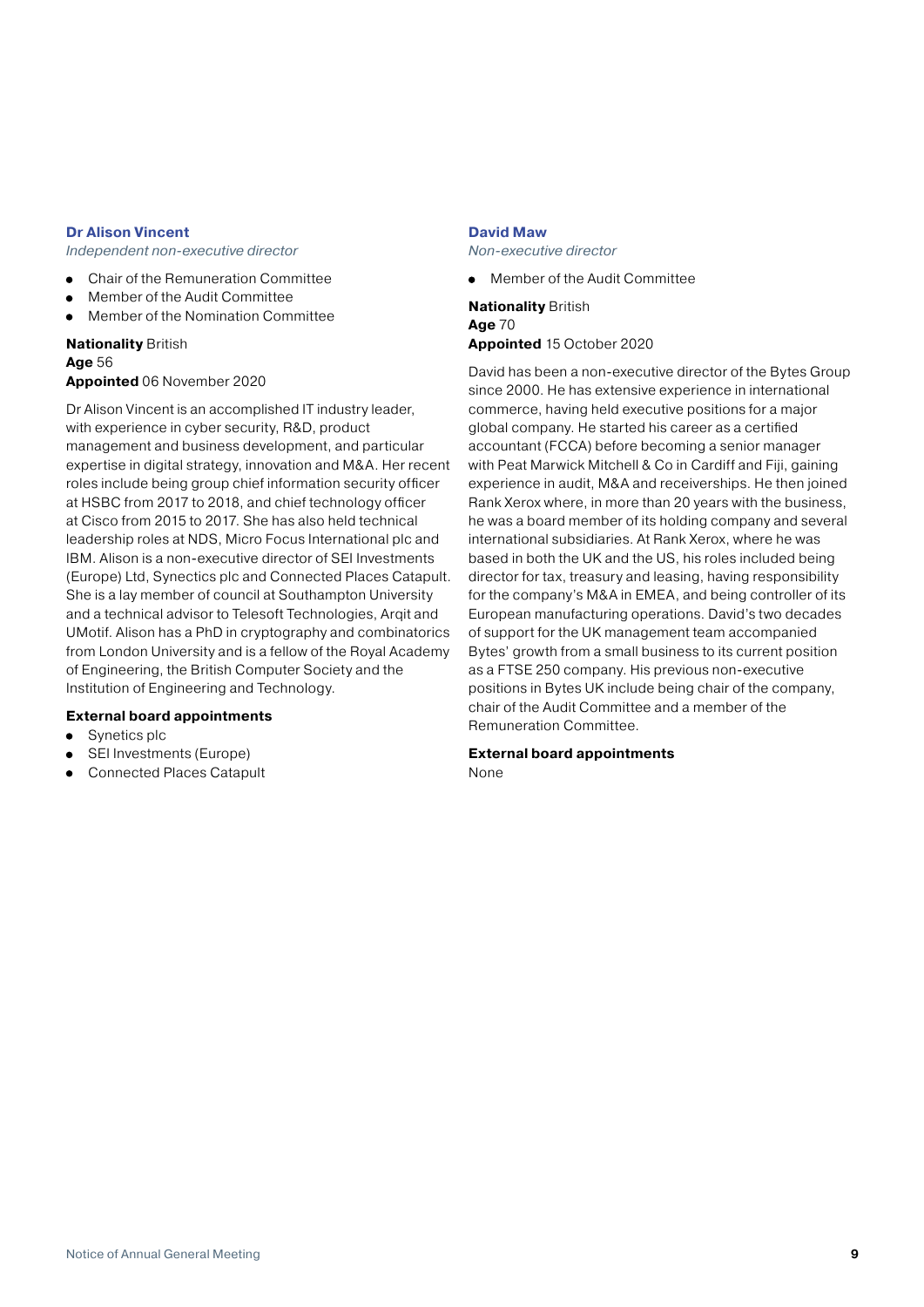#### **Dr Alison Vincent**

*Independent non-executive director*

- Chair of the Remuneration Committee
- Member of the Audit Committee
- Member of the Nomination Committee  $\bullet$

#### **Nationality** British **Age** 56 **Appointed** 06 November 2020

Dr Alison Vincent is an accomplished IT industry leader, with experience in cyber security, R&D, product management and business development, and particular expertise in digital strategy, innovation and M&A. Her recent roles include being group chief information security officer at HSBC from 2017 to 2018, and chief technology officer at Cisco from 2015 to 2017. She has also held technical leadership roles at NDS, Micro Focus International plc and IBM. Alison is a non-executive director of SEI Investments (Europe) Ltd, Synectics plc and Connected Places Catapult. She is a lay member of council at Southampton University and a technical advisor to Telesoft Technologies, Arqit and UMotif. Alison has a PhD in cryptography and combinatorics from London University and is a fellow of the Royal Academy of Engineering, the British Computer Society and the Institution of Engineering and Technology.

#### **External board appointments**

- Synetics plc
- SEI Investments (Europe)
- Connected Places Catapult  $\bullet$

#### **David Maw**

*Non-executive director*

Member of the Audit Committee

**Nationality** British **Age** 70 **Appointed** 15 October 2020

David has been a non-executive director of the Bytes Group since 2000. He has extensive experience in international commerce, having held executive positions for a major global company. He started his career as a certified accountant (FCCA) before becoming a senior manager with Peat Marwick Mitchell & Co in Cardiff and Fiji, gaining experience in audit, M&A and receiverships. He then joined Rank Xerox where, in more than 20 years with the business, he was a board member of its holding company and several international subsidiaries. At Rank Xerox, where he was based in both the UK and the US, his roles included being director for tax, treasury and leasing, having responsibility for the company's M&A in EMEA, and being controller of its European manufacturing operations. David's two decades of support for the UK management team accompanied Bytes' growth from a small business to its current position as a FTSE 250 company. His previous non-executive positions in Bytes UK include being chair of the company, chair of the Audit Committee and a member of the Remuneration Committee.

#### **External board appointments**

None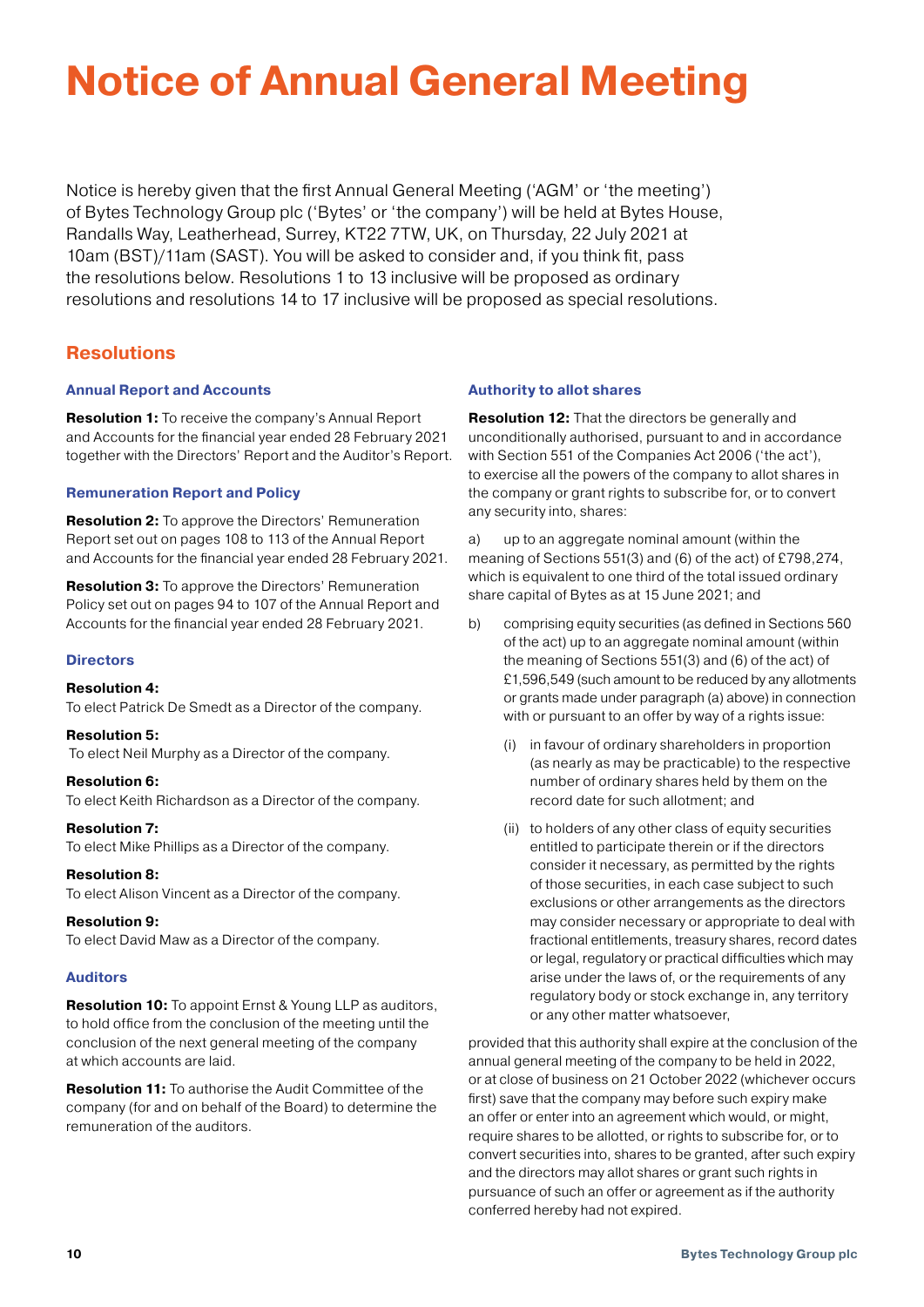# **Notice of Annual General Meeting**

Notice is hereby given that the first Annual General Meeting ('AGM' or 'the meeting') of Bytes Technology Group plc ('Bytes' or 'the company') will be held at Bytes House, Randalls Way, Leatherhead, Surrey, KT22 7TW, UK, on Thursday, 22 July 2021 at 10am (BST)/11am (SAST). You will be asked to consider and, if you think fit, pass the resolutions below. Resolutions 1 to 13 inclusive will be proposed as ordinary resolutions and resolutions 14 to 17 inclusive will be proposed as special resolutions.

## **Resolutions**

#### **Annual Report and Accounts**

**Resolution 1:** To receive the company's Annual Report and Accounts for the financial year ended 28 February 2021 together with the Directors' Report and the Auditor's Report.

#### **Remuneration Report and Policy**

**Resolution 2:** To approve the Directors' Remuneration Report set out on pages 108 to 113 of the Annual Report and Accounts for the financial year ended 28 February 2021.

**Resolution 3:** To approve the Directors' Remuneration Policy set out on pages 94 to 107 of the Annual Report and Accounts for the financial year ended 28 February 2021.

#### **Directors**

#### **Resolution 4:**

To elect Patrick De Smedt as a Director of the company.

#### **Resolution 5:**

To elect Neil Murphy as a Director of the company.

#### **Resolution 6:**

To elect Keith Richardson as a Director of the company.

#### **Resolution 7:**

To elect Mike Phillips as a Director of the company.

#### **Resolution 8:**

To elect Alison Vincent as a Director of the company.

#### **Resolution 9:**

To elect David Maw as a Director of the company.

#### **Auditors**

**Resolution 10:** To appoint Ernst & Young LLP as auditors, to hold office from the conclusion of the meeting until the conclusion of the next general meeting of the company at which accounts are laid.

**Resolution 11:** To authorise the Audit Committee of the company (for and on behalf of the Board) to determine the remuneration of the auditors.

#### **Authority to allot shares**

**Resolution 12:** That the directors be generally and unconditionally authorised, pursuant to and in accordance with Section 551 of the Companies Act 2006 ('the act'), to exercise all the powers of the company to allot shares in the company or grant rights to subscribe for, or to convert any security into, shares:

a) up to an aggregate nominal amount (within the meaning of Sections 551(3) and (6) of the act) of £798,274, which is equivalent to one third of the total issued ordinary share capital of Bytes as at 15 June 2021; and

- b) comprising equity securities (as defined in Sections 560 of the act) up to an aggregate nominal amount (within the meaning of Sections 551(3) and (6) of the act) of £1,596,549 (such amount to be reduced by any allotments or grants made under paragraph (a) above) in connection with or pursuant to an offer by way of a rights issue:
	- (i) in favour of ordinary shareholders in proportion (as nearly as may be practicable) to the respective number of ordinary shares held by them on the record date for such allotment; and
	- (ii) to holders of any other class of equity securities entitled to participate therein or if the directors consider it necessary, as permitted by the rights of those securities, in each case subject to such exclusions or other arrangements as the directors may consider necessary or appropriate to deal with fractional entitlements, treasury shares, record dates or legal, regulatory or practical difficulties which may arise under the laws of, or the requirements of any regulatory body or stock exchange in, any territory or any other matter whatsoever,

provided that this authority shall expire at the conclusion of the annual general meeting of the company to be held in 2022, or at close of business on 21 October 2022 (whichever occurs first) save that the company may before such expiry make an offer or enter into an agreement which would, or might, require shares to be allotted, or rights to subscribe for, or to convert securities into, shares to be granted, after such expiry and the directors may allot shares or grant such rights in pursuance of such an offer or agreement as if the authority conferred hereby had not expired.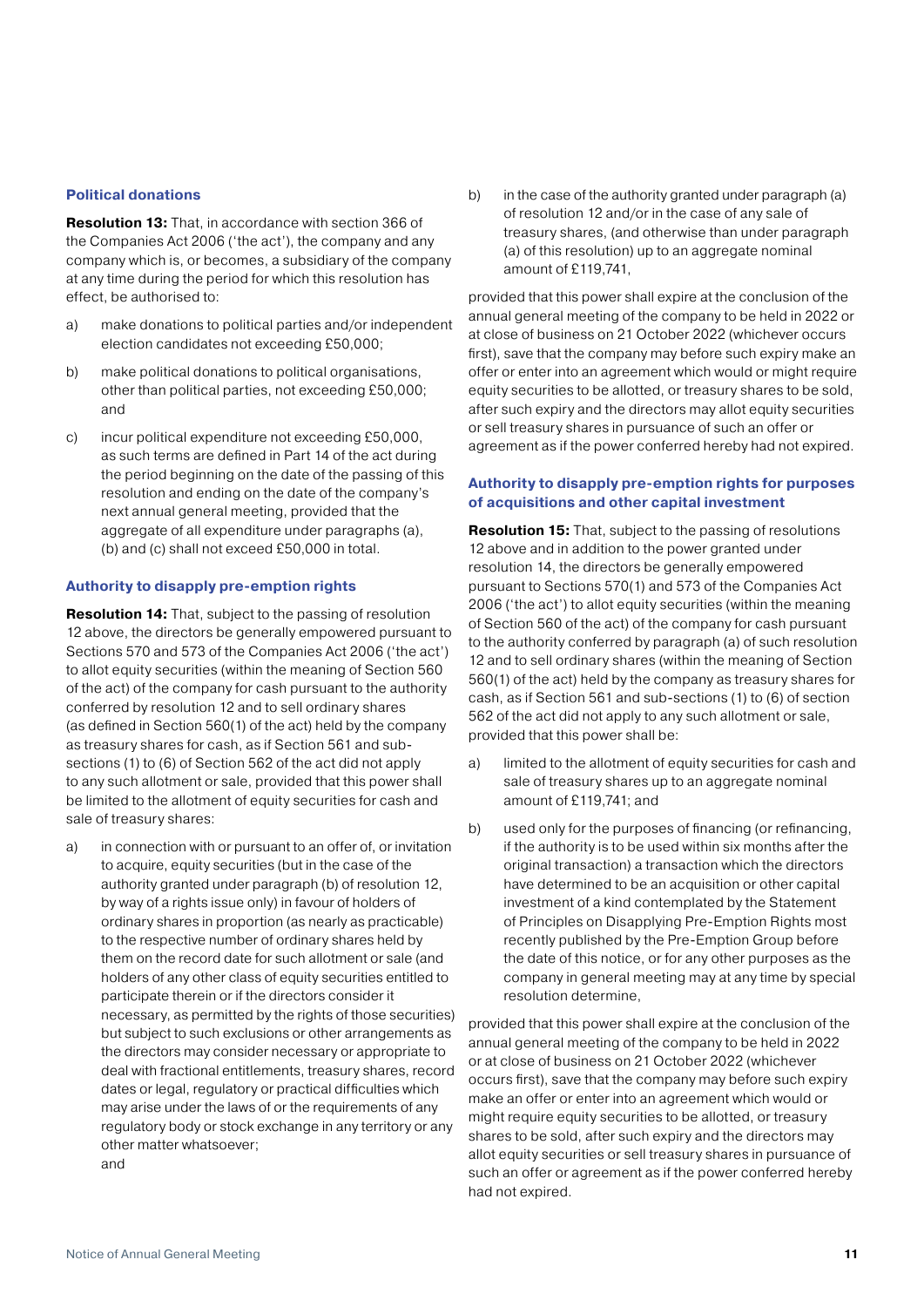#### **Political donations**

**Resolution 13:** That, in accordance with section 366 of the Companies Act 2006 ('the act'), the company and any company which is, or becomes, a subsidiary of the company at any time during the period for which this resolution has effect, be authorised to:

- a) make donations to political parties and/or independent election candidates not exceeding £50,000;
- b) make political donations to political organisations, other than political parties, not exceeding £50,000; and
- c) incur political expenditure not exceeding £50,000, as such terms are defined in Part 14 of the act during the period beginning on the date of the passing of this resolution and ending on the date of the company's next annual general meeting, provided that the aggregate of all expenditure under paragraphs (a), (b) and (c) shall not exceed £50,000 in total.

#### **Authority to disapply pre-emption rights**

**Resolution 14:** That, subject to the passing of resolution 12 above, the directors be generally empowered pursuant to Sections 570 and 573 of the Companies Act 2006 ('the act') to allot equity securities (within the meaning of Section 560 of the act) of the company for cash pursuant to the authority conferred by resolution 12 and to sell ordinary shares (as defined in Section 560(1) of the act) held by the company as treasury shares for cash, as if Section 561 and subsections (1) to (6) of Section 562 of the act did not apply to any such allotment or sale, provided that this power shall be limited to the allotment of equity securities for cash and sale of treasury shares:

a) in connection with or pursuant to an offer of, or invitation to acquire, equity securities (but in the case of the authority granted under paragraph (b) of resolution 12, by way of a rights issue only) in favour of holders of ordinary shares in proportion (as nearly as practicable) to the respective number of ordinary shares held by them on the record date for such allotment or sale (and holders of any other class of equity securities entitled to participate therein or if the directors consider it necessary, as permitted by the rights of those securities) but subject to such exclusions or other arrangements as the directors may consider necessary or appropriate to deal with fractional entitlements, treasury shares, record dates or legal, regulatory or practical difficulties which may arise under the laws of or the requirements of any regulatory body or stock exchange in any territory or any other matter whatsoever; and

b) in the case of the authority granted under paragraph (a) of resolution 12 and/or in the case of any sale of treasury shares, (and otherwise than under paragraph (a) of this resolution) up to an aggregate nominal amount of £119,741,

provided that this power shall expire at the conclusion of the annual general meeting of the company to be held in 2022 or at close of business on 21 October 2022 (whichever occurs first), save that the company may before such expiry make an offer or enter into an agreement which would or might require equity securities to be allotted, or treasury shares to be sold, after such expiry and the directors may allot equity securities or sell treasury shares in pursuance of such an offer or agreement as if the power conferred hereby had not expired.

#### **Authority to disapply pre-emption rights for purposes of acquisitions and other capital investment**

**Resolution 15:** That, subject to the passing of resolutions 12 above and in addition to the power granted under resolution 14, the directors be generally empowered pursuant to Sections 570(1) and 573 of the Companies Act 2006 ('the act') to allot equity securities (within the meaning of Section 560 of the act) of the company for cash pursuant to the authority conferred by paragraph (a) of such resolution 12 and to sell ordinary shares (within the meaning of Section 560(1) of the act) held by the company as treasury shares for cash, as if Section 561 and sub-sections (1) to (6) of section 562 of the act did not apply to any such allotment or sale, provided that this power shall be:

- a) limited to the allotment of equity securities for cash and sale of treasury shares up to an aggregate nominal amount of £119,741; and
- b) used only for the purposes of financing (or refinancing, if the authority is to be used within six months after the original transaction) a transaction which the directors have determined to be an acquisition or other capital investment of a kind contemplated by the Statement of Principles on Disapplying Pre-Emption Rights most recently published by the Pre-Emption Group before the date of this notice, or for any other purposes as the company in general meeting may at any time by special resolution determine,

provided that this power shall expire at the conclusion of the annual general meeting of the company to be held in 2022 or at close of business on 21 October 2022 (whichever occurs first), save that the company may before such expiry make an offer or enter into an agreement which would or might require equity securities to be allotted, or treasury shares to be sold, after such expiry and the directors may allot equity securities or sell treasury shares in pursuance of such an offer or agreement as if the power conferred hereby had not expired.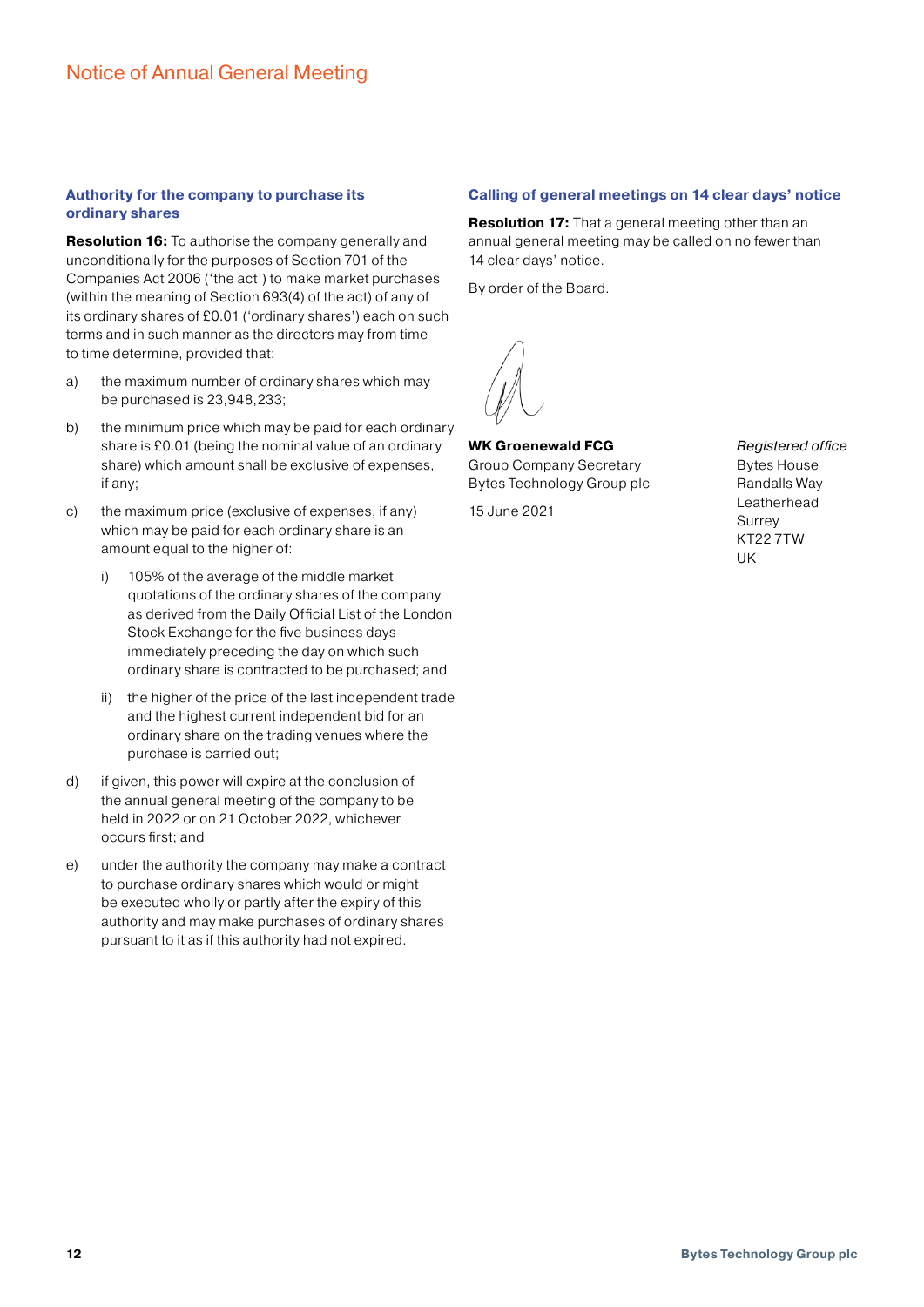#### **Authority for the company to purchase its ordinary shares**

**Resolution 16:** To authorise the company generally and unconditionally for the purposes of Section 701 of the Companies Act 2006 ('the act') to make market purchases (within the meaning of Section 693(4) of the act) of any of its ordinary shares of £0.01 ('ordinary shares') each on such terms and in such manner as the directors may from time to time determine, provided that:

- a) the maximum number of ordinary shares which may be purchased is 23,948,233;
- b) the minimum price which may be paid for each ordinary share is £0.01 (being the nominal value of an ordinary share) which amount shall be exclusive of expenses, if any;
- c) the maximum price (exclusive of expenses, if any) which may be paid for each ordinary share is an amount equal to the higher of:
	- i) 105% of the average of the middle market quotations of the ordinary shares of the company as derived from the Daily Official List of the London Stock Exchange for the five business days immediately preceding the day on which such ordinary share is contracted to be purchased; and
	- ii) the higher of the price of the last independent trade and the highest current independent bid for an ordinary share on the trading venues where the purchase is carried out;
- d) if given, this power will expire at the conclusion of the annual general meeting of the company to be held in 2022 or on 21 October 2022, whichever occurs first; and
- e) under the authority the company may make a contract to purchase ordinary shares which would or might be executed wholly or partly after the expiry of this authority and may make purchases of ordinary shares pursuant to it as if this authority had not expired.

#### **Calling of general meetings on 14 clear days' notice**

**Resolution 17:** That a general meeting other than an annual general meeting may be called on no fewer than 14 clear days' notice.

By order of the Board.

**WK Groenewald FCG**  Group Company Secretary Bytes Technology Group plc

15 June 2021

*Registered office* Bytes House Randalls Way Leatherhead Surrey KT22 7TW UK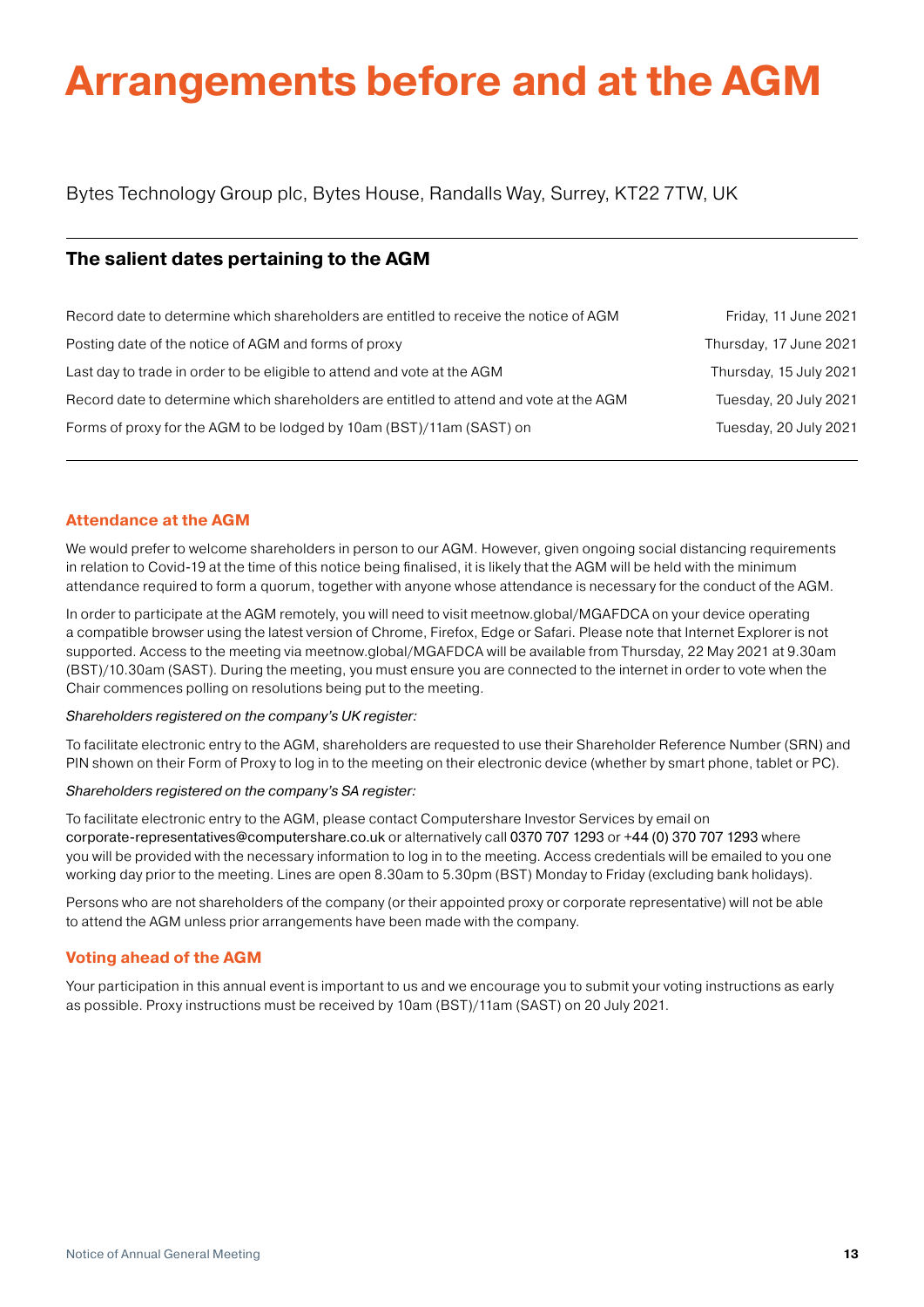# **Arrangements before and at the AGM**

Bytes Technology Group plc, Bytes House, Randalls Way, Surrey, KT22 7TW, UK

## **The salient dates pertaining to the AGM**

| Record date to determine which shareholders are entitled to receive the notice of AGM  | Friday, 11 June 2021   |
|----------------------------------------------------------------------------------------|------------------------|
| Posting date of the notice of AGM and forms of proxy                                   | Thursday, 17 June 2021 |
| Last day to trade in order to be eligible to attend and vote at the AGM                | Thursday, 15 July 2021 |
| Record date to determine which shareholders are entitled to attend and vote at the AGM | Tuesday, 20 July 2021  |
| Forms of proxy for the AGM to be lodged by 10am (BST)/11am (SAST) on                   | Tuesday, 20 July 2021  |

#### **Attendance at the AGM**

We would prefer to welcome shareholders in person to our AGM. However, given ongoing social distancing requirements in relation to Covid-19 at the time of this notice being finalised, it is likely that the AGM will be held with the minimum attendance required to form a quorum, together with anyone whose attendance is necessary for the conduct of the AGM.

In order to participate at the AGM remotely, you will need to visit meetnow.global/MGAFDCA on your device operating a compatible browser using the latest version of Chrome, Firefox, Edge or Safari. Please note that Internet Explorer is not supported. Access to the meeting via meetnow.global/MGAFDCA will be available from Thursday, 22 May 2021 at 9.30am (BST)/10.30am (SAST). During the meeting, you must ensure you are connected to the internet in order to vote when the Chair commences polling on resolutions being put to the meeting.

#### *Shareholders registered on the company's UK register:*

To facilitate electronic entry to the AGM, shareholders are requested to use their Shareholder Reference Number (SRN) and PIN shown on their Form of Proxy to log in to the meeting on their electronic device (whether by smart phone, tablet or PC).

#### *Shareholders registered on the company's SA register:*

To facilitate electronic entry to the AGM, please contact Computershare Investor Services by email on [corporate-representatives@computershare.co.uk](mailto:corporate-representatives@computershare.co.uk) or alternatively call 0370 707 1293 or +44 (0) 370 707 1293 where you will be provided with the necessary information to log in to the meeting. Access credentials will be emailed to you one working day prior to the meeting. Lines are open 8.30am to 5.30pm (BST) Monday to Friday (excluding bank holidays).

Persons who are not shareholders of the company (or their appointed proxy or corporate representative) will not be able to attend the AGM unless prior arrangements have been made with the company.

#### **Voting ahead of the AGM**

Your participation in this annual event is important to us and we encourage you to submit your voting instructions as early as possible. Proxy instructions must be received by 10am (BST)/11am (SAST) on 20 July 2021.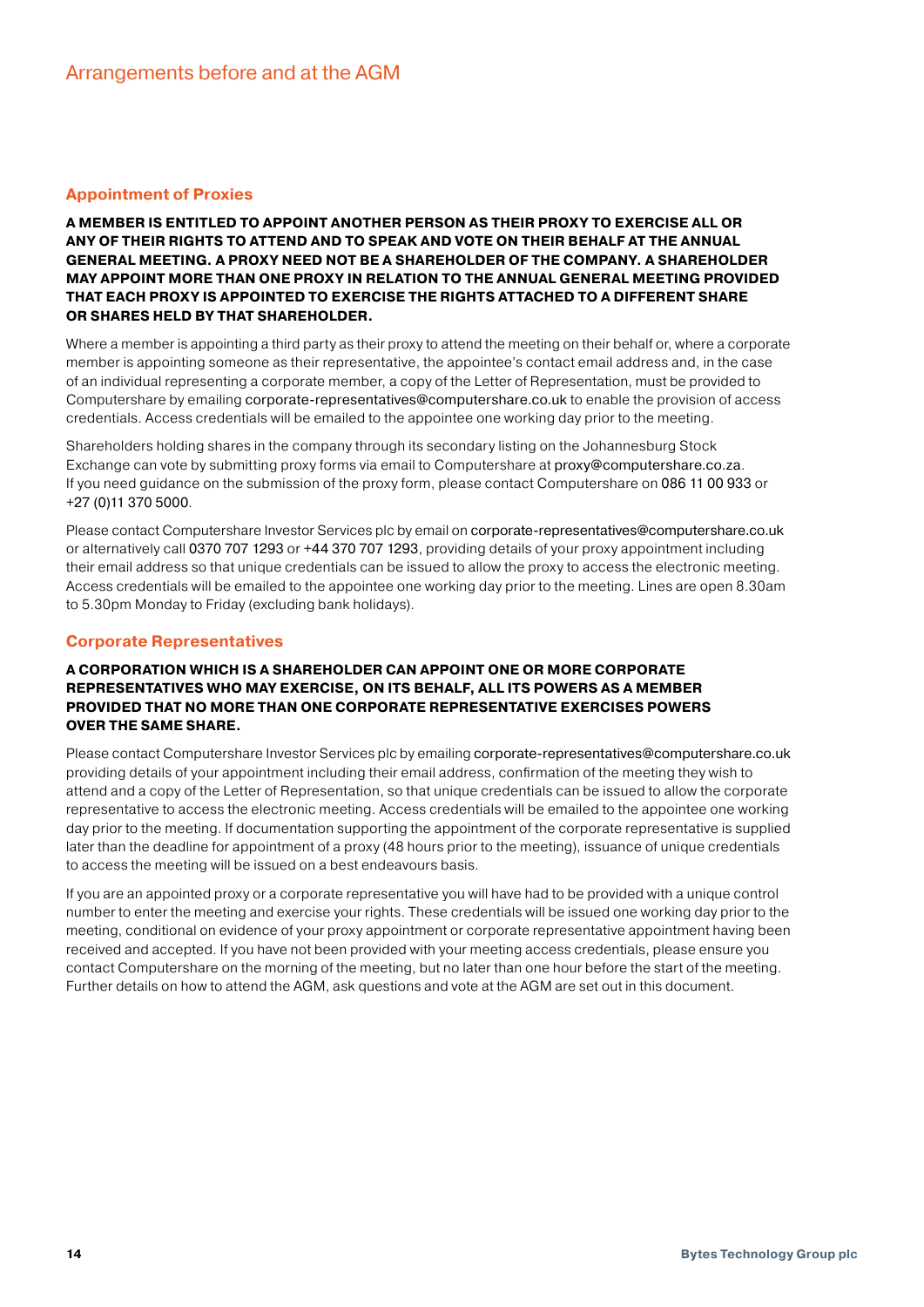#### **Appointment of Proxies**

#### **A MEMBER IS ENTITLED TO APPOINT ANOTHER PERSON AS THEIR PROXY TO EXERCISE ALL OR ANY OF THEIR RIGHTS TO ATTEND AND TO SPEAK AND VOTE ON THEIR BEHALF AT THE ANNUAL GENERAL MEETING. A PROXY NEED NOT BE A SHAREHOLDER OF THE COMPANY. A SHAREHOLDER MAY APPOINT MORE THAN ONE PROXY IN RELATION TO THE ANNUAL GENERAL MEETING PROVIDED THAT EACH PROXY IS APPOINTED TO EXERCISE THE RIGHTS ATTACHED TO A DIFFERENT SHARE OR SHARES HELD BY THAT SHAREHOLDER.**

Where a member is appointing a third party as their proxy to attend the meeting on their behalf or, where a corporate member is appointing someone as their representative, the appointee's contact email address and, in the case of an individual representing a corporate member, a copy of the Letter of Representation, must be provided to Computershare by emailing [corporate-representatives@computershare.co.uk](mailto:corporate-representatives@computershare.co.uk) to enable the provision of access credentials. Access credentials will be emailed to the appointee one working day prior to the meeting.

Shareholders holding shares in the company through its secondary listing on the Johannesburg Stock Exchange can vote by submitting proxy forms via email to Computershare at [proxy@computershare.co.za](mailto:proxy@computershare.co.za). If you need guidance on the submission of the proxy form, please contact Computershare on 086 11 00 933 or +27 (0)11 370 5000.

Please contact Computershare Investor Services plc by email on [corporate-representatives@computershare.co.uk](mailto:corporate-representatives@computershare.co.uk) or alternatively call 0370 707 1293 or +44 370 707 1293, providing details of your proxy appointment including their email address so that unique credentials can be issued to allow the proxy to access the electronic meeting. Access credentials will be emailed to the appointee one working day prior to the meeting. Lines are open 8.30am to 5.30pm Monday to Friday (excluding bank holidays).

#### **Corporate Representatives**

#### **A CORPORATION WHICH IS A SHAREHOLDER CAN APPOINT ONE OR MORE CORPORATE REPRESENTATIVES WHO MAY EXERCISE, ON ITS BEHALF, ALL ITS POWERS AS A MEMBER PROVIDED THAT NO MORE THAN ONE CORPORATE REPRESENTATIVE EXERCISES POWERS OVER THE SAME SHARE.**

Please contact Computershare Investor Services plc by emailing [corporate-representatives@computershare.co.uk](mailto:corporate-representatives@computershare.co.uk) providing details of your appointment including their email address, confirmation of the meeting they wish to attend and a copy of the Letter of Representation, so that unique credentials can be issued to allow the corporate representative to access the electronic meeting. Access credentials will be emailed to the appointee one working day prior to the meeting. If documentation supporting the appointment of the corporate representative is supplied later than the deadline for appointment of a proxy (48 hours prior to the meeting), issuance of unique credentials to access the meeting will be issued on a best endeavours basis.

If you are an appointed proxy or a corporate representative you will have had to be provided with a unique control number to enter the meeting and exercise your rights. These credentials will be issued one working day prior to the meeting, conditional on evidence of your proxy appointment or corporate representative appointment having been received and accepted. If you have not been provided with your meeting access credentials, please ensure you contact Computershare on the morning of the meeting, but no later than one hour before the start of the meeting. Further details on how to attend the AGM, ask questions and vote at the AGM are set out in this document.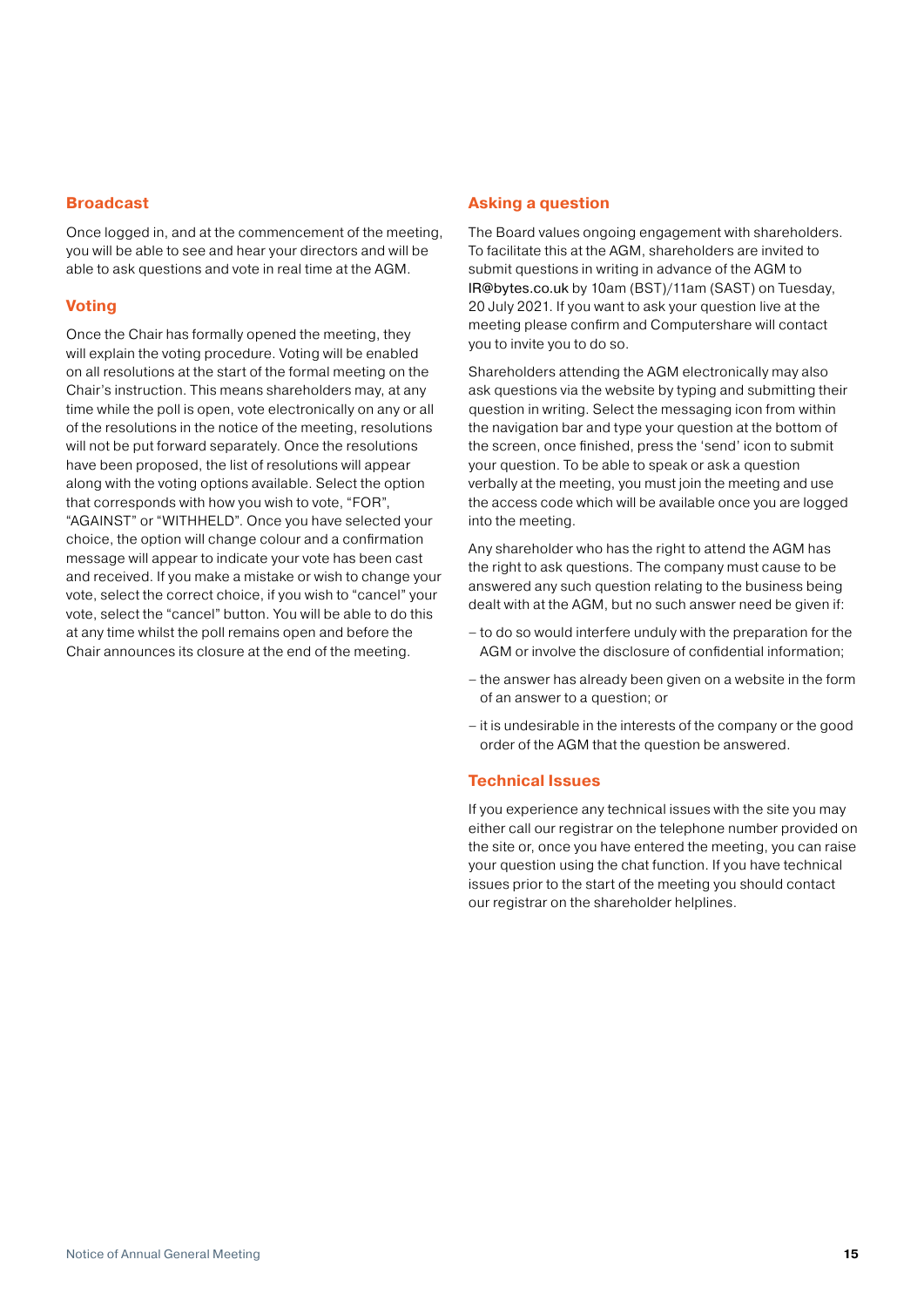#### **Broadcast**

Once logged in, and at the commencement of the meeting, you will be able to see and hear your directors and will be able to ask questions and vote in real time at the AGM.

#### **Voting**

Once the Chair has formally opened the meeting, they will explain the voting procedure. Voting will be enabled on all resolutions at the start of the formal meeting on the Chair's instruction. This means shareholders may, at any time while the poll is open, vote electronically on any or all of the resolutions in the notice of the meeting, resolutions will not be put forward separately. Once the resolutions have been proposed, the list of resolutions will appear along with the voting options available. Select the option that corresponds with how you wish to vote, "FOR", "AGAINST" or "WITHHELD". Once you have selected your choice, the option will change colour and a confirmation message will appear to indicate your vote has been cast and received. If you make a mistake or wish to change your vote, select the correct choice, if you wish to "cancel" your vote, select the "cancel" button. You will be able to do this at any time whilst the poll remains open and before the Chair announces its closure at the end of the meeting.

#### **Asking a question**

The Board values ongoing engagement with shareholders. To facilitate this at the AGM, shareholders are invited to submit questions in writing in advance of the AGM to [IR@bytes.co.uk](mailto:IR@Bytes.co.uk) by 10am (BST)/11am (SAST) on Tuesday, 20 July 2021. If you want to ask your question live at the meeting please confirm and Computershare will contact you to invite you to do so.

Shareholders attending the AGM electronically may also ask questions via the website by typing and submitting their question in writing. Select the messaging icon from within the navigation bar and type your question at the bottom of the screen, once finished, press the 'send' icon to submit your question. To be able to speak or ask a question verbally at the meeting, you must join the meeting and use the access code which will be available once you are logged into the meeting.

Any shareholder who has the right to attend the AGM has the right to ask questions. The company must cause to be answered any such question relating to the business being dealt with at the AGM, but no such answer need be given if:

- to do so would interfere unduly with the preparation for the AGM or involve the disclosure of confidential information;
- the answer has already been given on a website in the form of an answer to a question; or
- it is undesirable in the interests of the company or the good order of the AGM that the question be answered.

#### **Technical Issues**

If you experience any technical issues with the site you may either call our registrar on the telephone number provided on the site or, once you have entered the meeting, you can raise your question using the chat function. If you have technical issues prior to the start of the meeting you should contact our registrar on the shareholder helplines.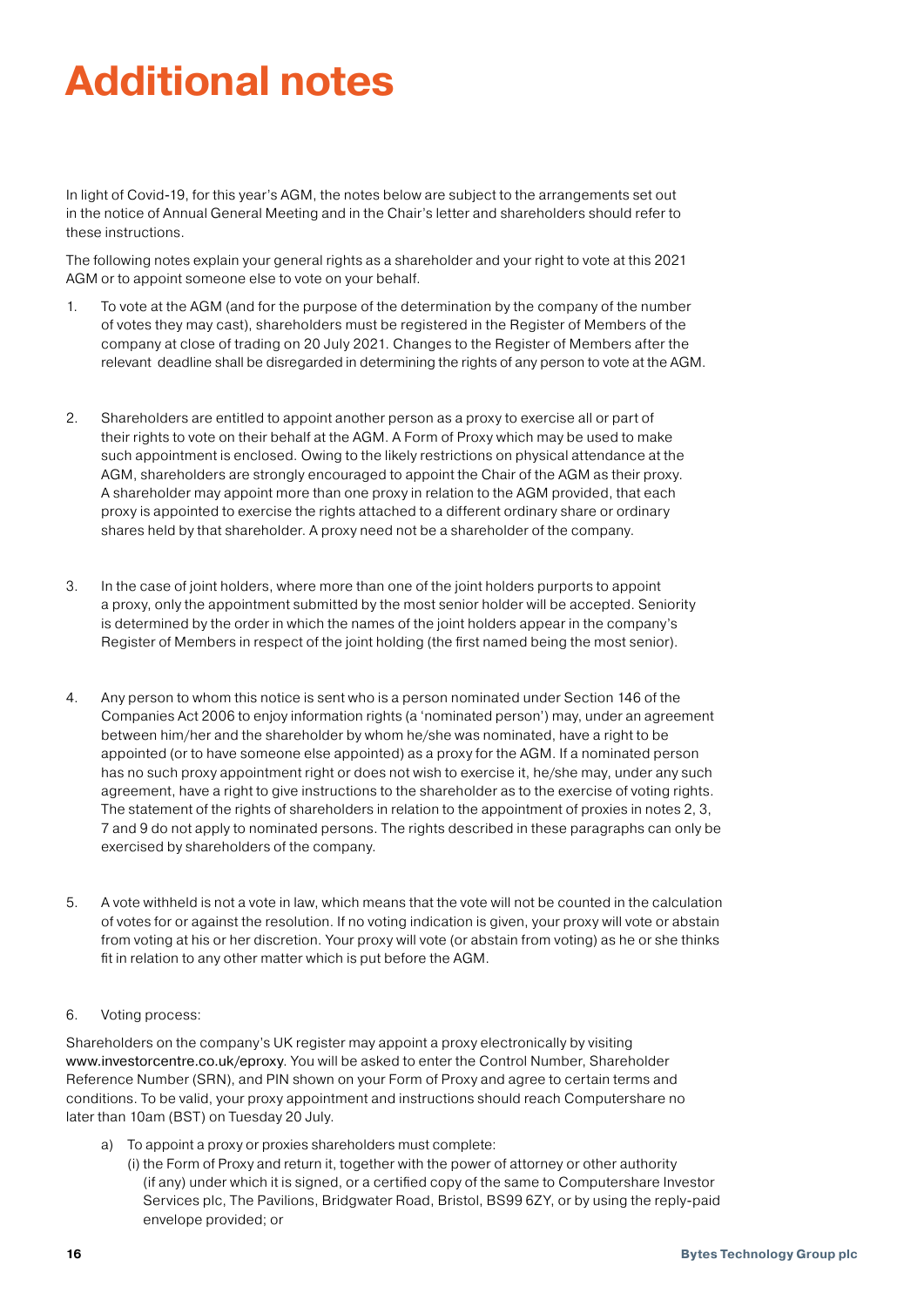## **Additional notes**

In light of Covid-19, for this year's AGM, the notes below are subject to the arrangements set out in the notice of Annual General Meeting and in the Chair's letter and shareholders should refer to these instructions.

The following notes explain your general rights as a shareholder and your right to vote at this 2021 AGM or to appoint someone else to vote on your behalf.

- 1. To vote at the AGM (and for the purpose of the determination by the company of the number of votes they may cast), shareholders must be registered in the Register of Members of the company at close of trading on 20 July 2021. Changes to the Register of Members after the relevant deadline shall be disregarded in determining the rights of any person to vote at the AGM.
- 2. Shareholders are entitled to appoint another person as a proxy to exercise all or part of their rights to vote on their behalf at the AGM. A Form of Proxy which may be used to make such appointment is enclosed. Owing to the likely restrictions on physical attendance at the AGM, shareholders are strongly encouraged to appoint the Chair of the AGM as their proxy. A shareholder may appoint more than one proxy in relation to the AGM provided, that each proxy is appointed to exercise the rights attached to a different ordinary share or ordinary shares held by that shareholder. A proxy need not be a shareholder of the company.
- 3. In the case of joint holders, where more than one of the joint holders purports to appoint a proxy, only the appointment submitted by the most senior holder will be accepted. Seniority is determined by the order in which the names of the joint holders appear in the company's Register of Members in respect of the joint holding (the first named being the most senior).
- 4. Any person to whom this notice is sent who is a person nominated under Section 146 of the Companies Act 2006 to enjoy information rights (a 'nominated person') may, under an agreement between him/her and the shareholder by whom he/she was nominated, have a right to be appointed (or to have someone else appointed) as a proxy for the AGM. If a nominated person has no such proxy appointment right or does not wish to exercise it, he/she may, under any such agreement, have a right to give instructions to the shareholder as to the exercise of voting rights. The statement of the rights of shareholders in relation to the appointment of proxies in notes 2, 3, 7 and 9 do not apply to nominated persons. The rights described in these paragraphs can only be exercised by shareholders of the company.
- 5. A vote withheld is not a vote in law, which means that the vote will not be counted in the calculation of votes for or against the resolution. If no voting indication is given, your proxy will vote or abstain from voting at his or her discretion. Your proxy will vote (or abstain from voting) as he or she thinks fit in relation to any other matter which is put before the AGM.
- 6. Voting process:

Shareholders on the company's UK register may appoint a proxy electronically by visiting [www.investorcentre.co.uk/eproxy](http://www.investorcentre.co.uk/eproxy). You will be asked to enter the Control Number, Shareholder Reference Number (SRN), and PIN shown on your Form of Proxy and agree to certain terms and conditions. To be valid, your proxy appointment and instructions should reach Computershare no later than 10am (BST) on Tuesday 20 July.

- a) To appoint a proxy or proxies shareholders must complete:
	- (i) the Form of Proxy and return it, together with the power of attorney or other authority (if any) under which it is signed, or a certified copy of the same to Computershare Investor Services plc, The Pavilions, Bridgwater Road, Bristol, BS99 6ZY, or by using the reply-paid envelope provided; or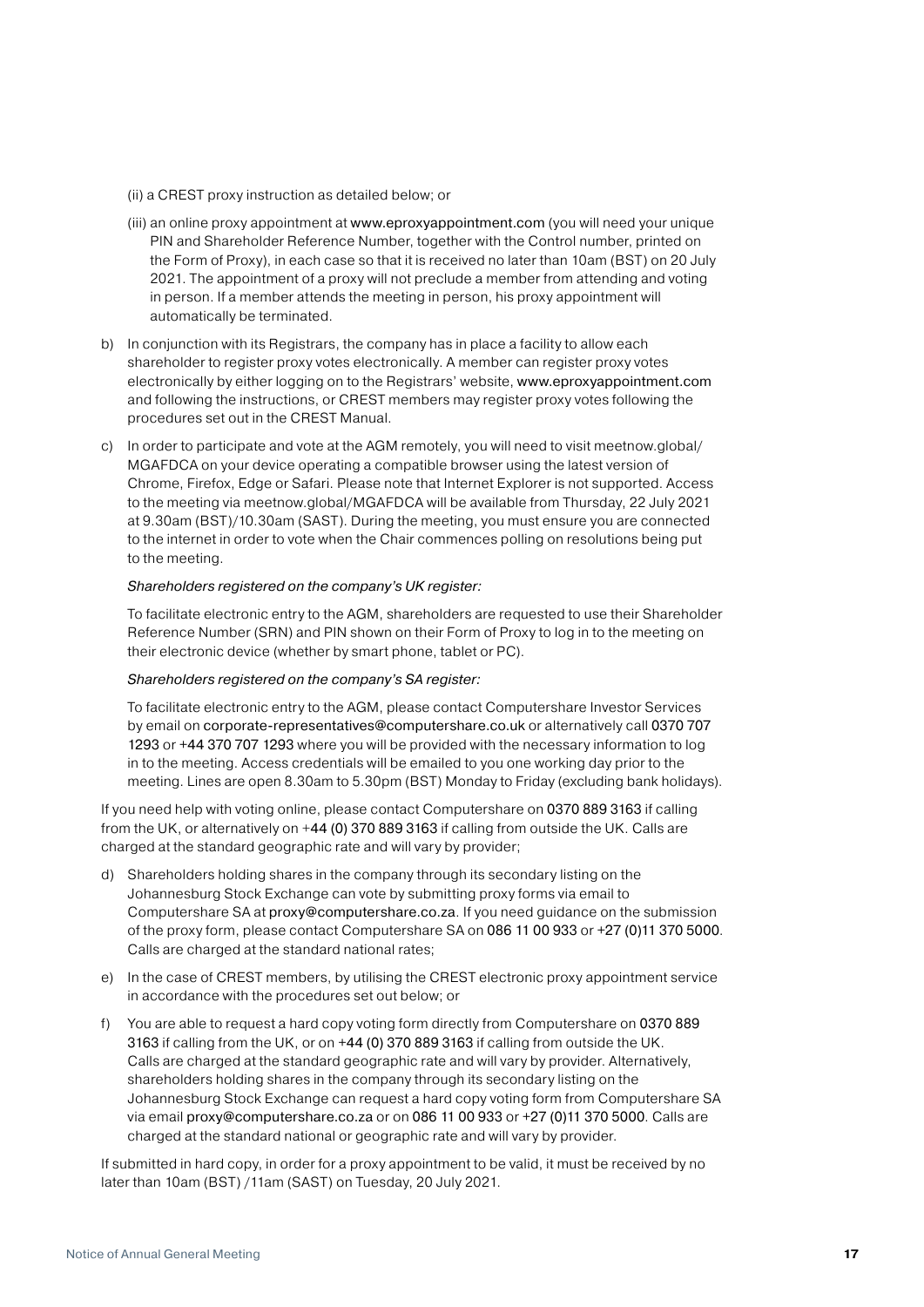- (ii) a CREST proxy instruction as detailed below; or
- (iii) an online proxy appointment at www.[eproxyappointment.com](http://www.eproxyappointment.com) (you will need your unique PIN and Shareholder Reference Number, together with the Control number, printed on the Form of Proxy), in each case so that it is received no later than 10am (BST) on 20 July 2021. The appointment of a proxy will not preclude a member from attending and voting in person. If a member attends the meeting in person, his proxy appointment will automatically be terminated.
- b) In conjunction with its Registrars, the company has in place a facility to allow each shareholder to register proxy votes electronically. A member can register proxy votes electronically by either logging on to the Registrars' website, [www.eproxyappointment.com](http://www.eproxyappointment.com) and following the instructions, or CREST members may register proxy votes following the procedures set out in the CREST Manual.
- c) In order to participate and vote at the AGM remotely, you will need to visit meetnow.global/ MGAFDCA on your device operating a compatible browser using the latest version of Chrome, Firefox, Edge or Safari. Please note that Internet Explorer is not supported. Access to the meeting via meetnow.global/MGAFDCA will be available from Thursday, 22 July 2021 at 9.30am (BST)/10.30am (SAST). During the meeting, you must ensure you are connected to the internet in order to vote when the Chair commences polling on resolutions being put to the meeting.

#### *Shareholders registered on the company's UK register:*

 To facilitate electronic entry to the AGM, shareholders are requested to use their Shareholder Reference Number (SRN) and PIN shown on their Form of Proxy to log in to the meeting on their electronic device (whether by smart phone, tablet or PC).

#### *Shareholders registered on the company's SA register:*

 To facilitate electronic entry to the AGM, please contact Computershare Investor Services by email on [corporate-representatives@computershare.co.uk](mailto:corporate-representatives@computershare.co.uk) or alternatively call 0370 707 1293 or +44 370 707 1293 where you will be provided with the necessary information to log in to the meeting. Access credentials will be emailed to you one working day prior to the meeting. Lines are open 8.30am to 5.30pm (BST) Monday to Friday (excluding bank holidays).

 If you need help with voting online, please contact Computershare on 0370 889 3163 if calling from the UK, or alternatively on +44 (0) 370 889 3163 if calling from outside the UK. Calls are charged at the standard geographic rate and will vary by provider;

- d) Shareholders holding shares in the company through its secondary listing on the Johannesburg Stock Exchange can vote by submitting proxy forms via email to Computershare SA at [proxy@computershare.co.za](mailto:proxy@computershare.co.za). If you need guidance on the submission of the proxy form, please contact Computershare SA on 086 11 00 933 or +27 (0)11 370 5000. Calls are charged at the standard national rates;
- e) In the case of CREST members, by utilising the CREST electronic proxy appointment service in accordance with the procedures set out below; or
- f) You are able to request a hard copy voting form directly from Computershare on 0370 889 3163 if calling from the UK, or on +44 (0) 370 889 3163 if calling from outside the UK. Calls are charged at the standard geographic rate and will vary by provider. Alternatively, shareholders holding shares in the company through its secondary listing on the Johannesburg Stock Exchange can request a hard copy voting form from Computershare SA via email [proxy@computershare.co.za](mailto:proxy@computershare.co.za) or on 086 11 00 933 or +27 (0)11 370 5000. Calls are charged at the standard national or geographic rate and will vary by provider.

 If submitted in hard copy, in order for a proxy appointment to be valid, it must be received by no later than 10am (BST) /11am (SAST) on Tuesday, 20 July 2021.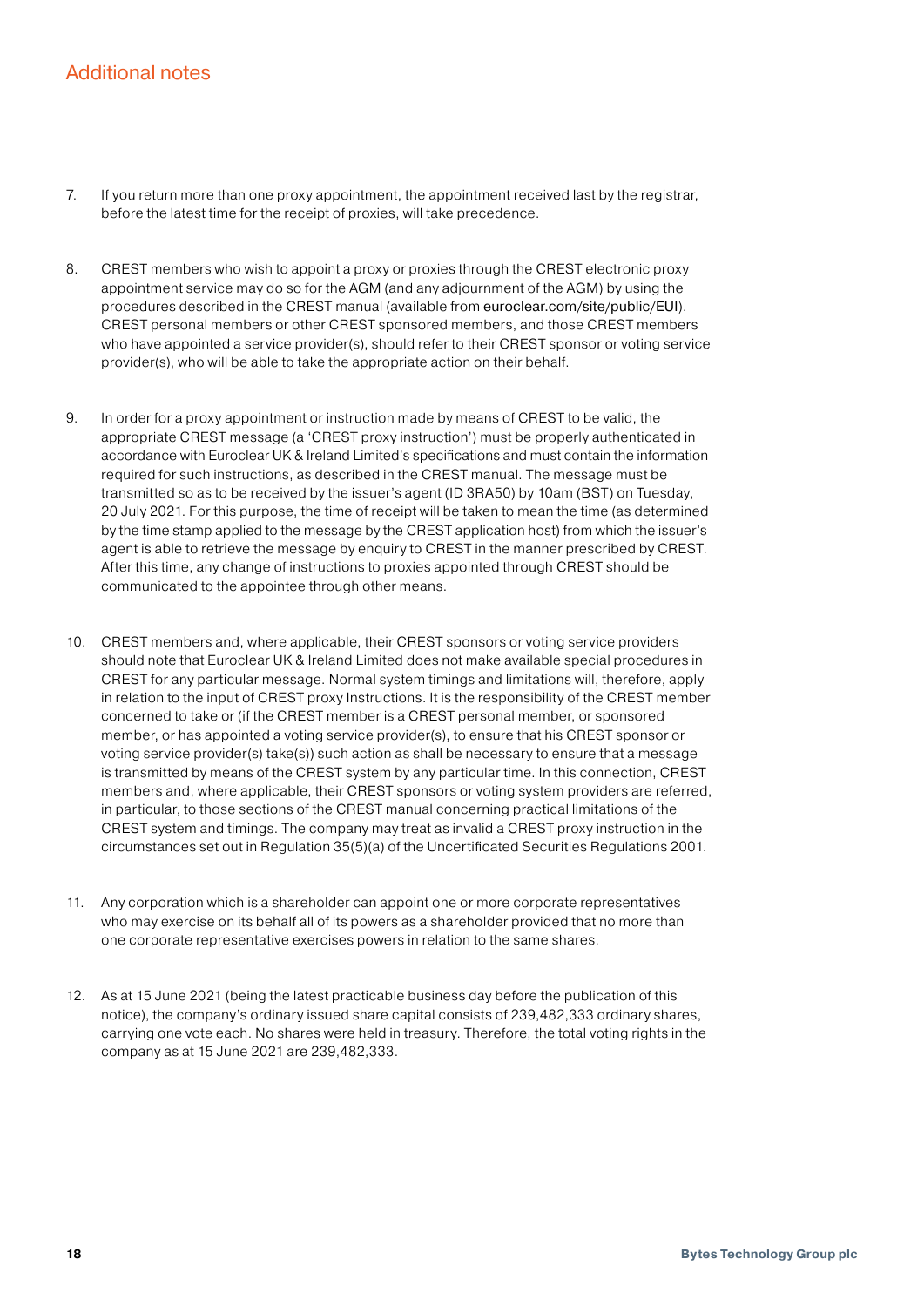## Additional notes

- 7. If you return more than one proxy appointment, the appointment received last by the registrar, before the latest time for the receipt of proxies, will take precedence.
- 8. CREST members who wish to appoint a proxy or proxies through the CREST electronic proxy appointment service may do so for the AGM (and any adjournment of the AGM) by using the procedures described in the CREST manual (available from [euroclear.com/site/public/EUI](http://euroclear.com/site/public/EUI)). CREST personal members or other CREST sponsored members, and those CREST members who have appointed a service provider(s), should refer to their CREST sponsor or voting service provider(s), who will be able to take the appropriate action on their behalf.
- 9. In order for a proxy appointment or instruction made by means of CREST to be valid, the appropriate CREST message (a 'CREST proxy instruction') must be properly authenticated in accordance with Euroclear UK & Ireland Limited's specifications and must contain the information required for such instructions, as described in the CREST manual. The message must be transmitted so as to be received by the issuer's agent (ID 3RA50) by 10am (BST) on Tuesday, 20 July 2021. For this purpose, the time of receipt will be taken to mean the time (as determined by the time stamp applied to the message by the CREST application host) from which the issuer's agent is able to retrieve the message by enquiry to CREST in the manner prescribed by CREST. After this time, any change of instructions to proxies appointed through CREST should be communicated to the appointee through other means.
- 10. CREST members and, where applicable, their CREST sponsors or voting service providers should note that Euroclear UK & Ireland Limited does not make available special procedures in CREST for any particular message. Normal system timings and limitations will, therefore, apply in relation to the input of CREST proxy Instructions. It is the responsibility of the CREST member concerned to take or (if the CREST member is a CREST personal member, or sponsored member, or has appointed a voting service provider(s), to ensure that his CREST sponsor or voting service provider(s) take(s)) such action as shall be necessary to ensure that a message is transmitted by means of the CREST system by any particular time. In this connection, CREST members and, where applicable, their CREST sponsors or voting system providers are referred, in particular, to those sections of the CREST manual concerning practical limitations of the CREST system and timings. The company may treat as invalid a CREST proxy instruction in the circumstances set out in Regulation 35(5)(a) of the Uncertificated Securities Regulations 2001.
- 11. Any corporation which is a shareholder can appoint one or more corporate representatives who may exercise on its behalf all of its powers as a shareholder provided that no more than one corporate representative exercises powers in relation to the same shares.
- 12. As at 15 June 2021 (being the latest practicable business day before the publication of this notice), the company's ordinary issued share capital consists of 239,482,333 ordinary shares, carrying one vote each. No shares were held in treasury. Therefore, the total voting rights in the company as at 15 June 2021 are 239,482,333.